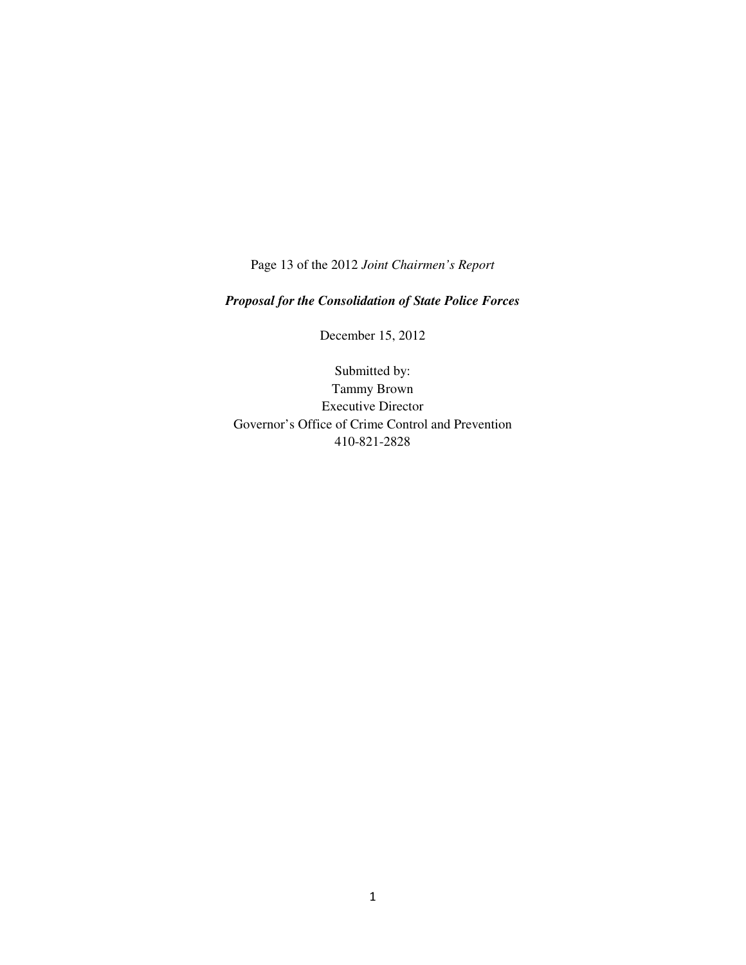Page 13 of the 2012 *Joint Chairmen's Report*

## *Proposal for the Consolidation of State Police Forces*

December 15, 2012

Submitted by: Tammy Brown Executive Director Governor's Office of Crime Control and Prevention 410-821-2828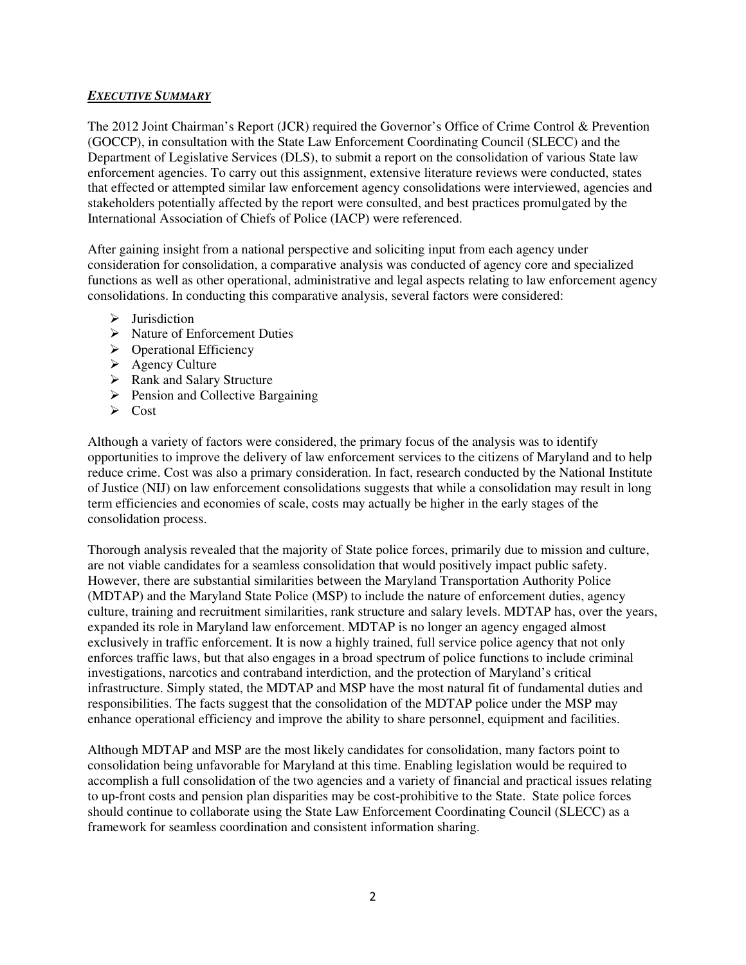#### *EXECUTIVE SUMMARY*

The 2012 Joint Chairman's Report (JCR) required the Governor's Office of Crime Control & Prevention (GOCCP), in consultation with the State Law Enforcement Coordinating Council (SLECC) and the Department of Legislative Services (DLS), to submit a report on the consolidation of various State law enforcement agencies. To carry out this assignment, extensive literature reviews were conducted, states that effected or attempted similar law enforcement agency consolidations were interviewed, agencies and stakeholders potentially affected by the report were consulted, and best practices promulgated by the International Association of Chiefs of Police (IACP) were referenced.

After gaining insight from a national perspective and soliciting input from each agency under consideration for consolidation, a comparative analysis was conducted of agency core and specialized functions as well as other operational, administrative and legal aspects relating to law enforcement agency consolidations. In conducting this comparative analysis, several factors were considered:

- $\triangleright$  Jurisdiction
- > Nature of Enforcement Duties
- $\triangleright$  Operational Efficiency
- $\triangleright$  Agency Culture
- Rank and Salary Structure
- $\triangleright$  Pension and Collective Bargaining
- $\triangleright$  Cost

Although a variety of factors were considered, the primary focus of the analysis was to identify opportunities to improve the delivery of law enforcement services to the citizens of Maryland and to help reduce crime. Cost was also a primary consideration. In fact, research conducted by the National Institute of Justice (NIJ) on law enforcement consolidations suggests that while a consolidation may result in long term efficiencies and economies of scale, costs may actually be higher in the early stages of the consolidation process.

Thorough analysis revealed that the majority of State police forces, primarily due to mission and culture, are not viable candidates for a seamless consolidation that would positively impact public safety. However, there are substantial similarities between the Maryland Transportation Authority Police (MDTAP) and the Maryland State Police (MSP) to include the nature of enforcement duties, agency culture, training and recruitment similarities, rank structure and salary levels. MDTAP has, over the years, expanded its role in Maryland law enforcement. MDTAP is no longer an agency engaged almost exclusively in traffic enforcement. It is now a highly trained, full service police agency that not only enforces traffic laws, but that also engages in a broad spectrum of police functions to include criminal investigations, narcotics and contraband interdiction, and the protection of Maryland's critical infrastructure. Simply stated, the MDTAP and MSP have the most natural fit of fundamental duties and responsibilities. The facts suggest that the consolidation of the MDTAP police under the MSP may enhance operational efficiency and improve the ability to share personnel, equipment and facilities.

Although MDTAP and MSP are the most likely candidates for consolidation, many factors point to consolidation being unfavorable for Maryland at this time. Enabling legislation would be required to accomplish a full consolidation of the two agencies and a variety of financial and practical issues relating to up-front costs and pension plan disparities may be cost-prohibitive to the State. State police forces should continue to collaborate using the State Law Enforcement Coordinating Council (SLECC) as a framework for seamless coordination and consistent information sharing.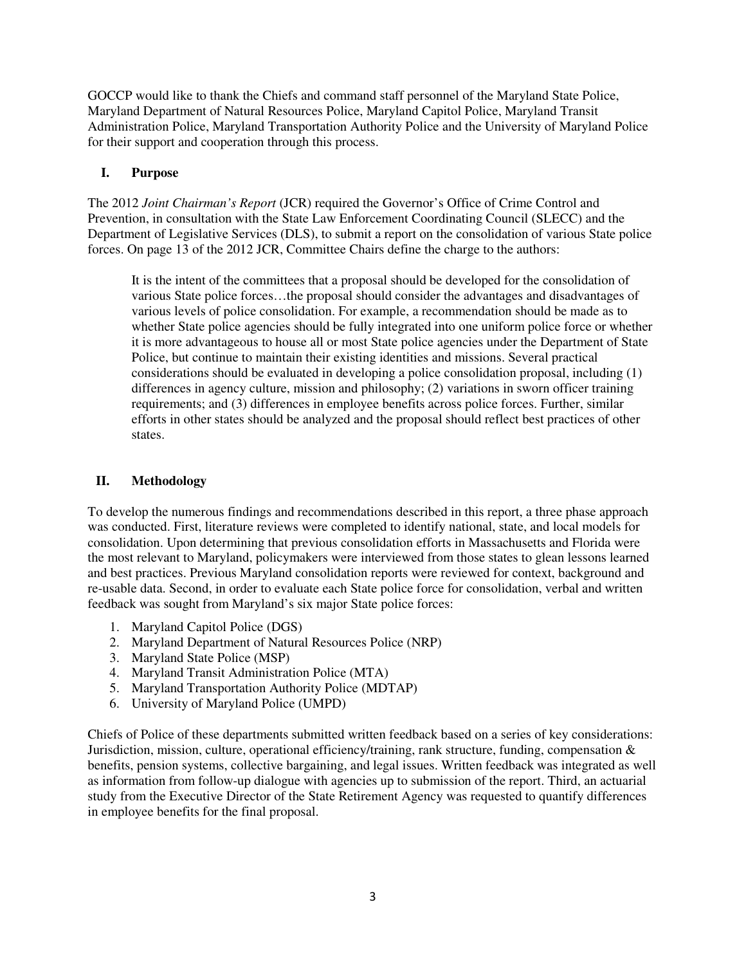GOCCP would like to thank the Chiefs and command staff personnel of the Maryland State Police, Maryland Department of Natural Resources Police, Maryland Capitol Police, Maryland Transit Administration Police, Maryland Transportation Authority Police and the University of Maryland Police for their support and cooperation through this process.

#### **I. Purpose**

The 2012 *Joint Chairman's Report* (JCR) required the Governor's Office of Crime Control and Prevention, in consultation with the State Law Enforcement Coordinating Council (SLECC) and the Department of Legislative Services (DLS), to submit a report on the consolidation of various State police forces. On page 13 of the 2012 JCR, Committee Chairs define the charge to the authors:

It is the intent of the committees that a proposal should be developed for the consolidation of various State police forces…the proposal should consider the advantages and disadvantages of various levels of police consolidation. For example, a recommendation should be made as to whether State police agencies should be fully integrated into one uniform police force or whether it is more advantageous to house all or most State police agencies under the Department of State Police, but continue to maintain their existing identities and missions. Several practical considerations should be evaluated in developing a police consolidation proposal, including (1) differences in agency culture, mission and philosophy; (2) variations in sworn officer training requirements; and (3) differences in employee benefits across police forces. Further, similar efforts in other states should be analyzed and the proposal should reflect best practices of other states.

### **II. Methodology**

To develop the numerous findings and recommendations described in this report, a three phase approach was conducted. First, literature reviews were completed to identify national, state, and local models for consolidation. Upon determining that previous consolidation efforts in Massachusetts and Florida were the most relevant to Maryland, policymakers were interviewed from those states to glean lessons learned and best practices. Previous Maryland consolidation reports were reviewed for context, background and re-usable data. Second, in order to evaluate each State police force for consolidation, verbal and written feedback was sought from Maryland's six major State police forces:

- 1. Maryland Capitol Police (DGS)
- 2. Maryland Department of Natural Resources Police (NRP)
- 3. Maryland State Police (MSP)
- 4. Maryland Transit Administration Police (MTA)
- 5. Maryland Transportation Authority Police (MDTAP)
- 6. University of Maryland Police (UMPD)

Chiefs of Police of these departments submitted written feedback based on a series of key considerations: Jurisdiction, mission, culture, operational efficiency/training, rank structure, funding, compensation & benefits, pension systems, collective bargaining, and legal issues. Written feedback was integrated as well as information from follow-up dialogue with agencies up to submission of the report. Third, an actuarial study from the Executive Director of the State Retirement Agency was requested to quantify differences in employee benefits for the final proposal.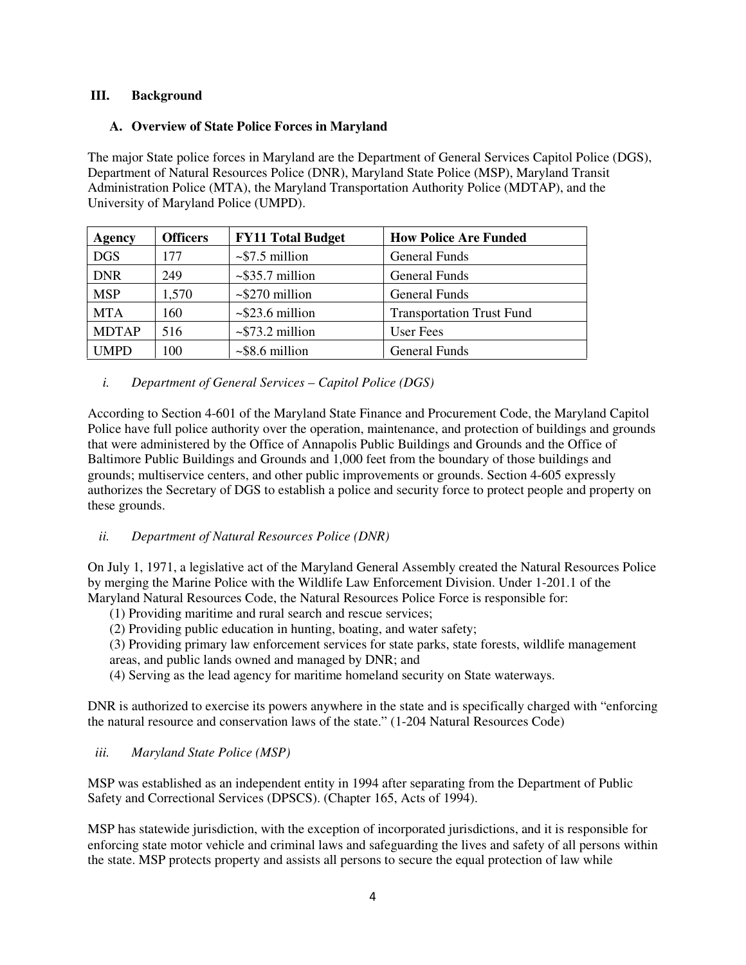#### **III. Background**

#### **A. Overview of State Police Forces in Maryland**

The major State police forces in Maryland are the Department of General Services Capitol Police (DGS), Department of Natural Resources Police (DNR), Maryland State Police (MSP), Maryland Transit Administration Police (MTA), the Maryland Transportation Authority Police (MDTAP), and the University of Maryland Police (UMPD).

| Agency       | <b>Officers</b> | <b>FY11 Total Budget</b> | <b>How Police Are Funded</b>     |
|--------------|-----------------|--------------------------|----------------------------------|
| <b>DGS</b>   | 177             | $\sim$ \$7.5 million     | <b>General Funds</b>             |
| <b>DNR</b>   | 249             | $\sim$ \$35.7 million    | <b>General Funds</b>             |
| <b>MSP</b>   | 1,570           | $\sim$ \$270 million     | <b>General Funds</b>             |
| <b>MTA</b>   | 160             | $\sim$ \$23.6 million    | <b>Transportation Trust Fund</b> |
| <b>MDTAP</b> | 516             | $\sim$ \$73.2 million    | User Fees                        |
| <b>UMPD</b>  | 100             | $\sim$ \$8.6 million     | <b>General Funds</b>             |

#### *i. Department of General Services – Capitol Police (DGS)*

According to Section 4-601 of the Maryland State Finance and Procurement Code, the Maryland Capitol Police have full police authority over the operation, maintenance, and protection of buildings and grounds that were administered by the Office of Annapolis Public Buildings and Grounds and the Office of Baltimore Public Buildings and Grounds and 1,000 feet from the boundary of those buildings and grounds; multiservice centers, and other public improvements or grounds. Section 4-605 expressly authorizes the Secretary of DGS to establish a police and security force to protect people and property on these grounds.

## *ii. Department of Natural Resources Police (DNR)*

On July 1, 1971, a legislative act of the Maryland General Assembly created the Natural Resources Police by merging the Marine Police with the Wildlife Law Enforcement Division. Under 1-201.1 of the Maryland Natural Resources Code, the Natural Resources Police Force is responsible for:

- (1) Providing maritime and rural search and rescue services;
- (2) Providing public education in hunting, boating, and water safety;
- (3) Providing primary law enforcement services for state parks, state forests, wildlife management
- areas, and public lands owned and managed by DNR; and
- (4) Serving as the lead agency for maritime homeland security on State waterways.

DNR is authorized to exercise its powers anywhere in the state and is specifically charged with "enforcing the natural resource and conservation laws of the state." (1-204 Natural Resources Code)

#### *iii. Maryland State Police (MSP)*

MSP was established as an independent entity in 1994 after separating from the Department of Public Safety and Correctional Services (DPSCS). (Chapter 165, Acts of 1994).

MSP has statewide jurisdiction, with the exception of incorporated jurisdictions, and it is responsible for enforcing state motor vehicle and criminal laws and safeguarding the lives and safety of all persons within the state. MSP protects property and assists all persons to secure the equal protection of law while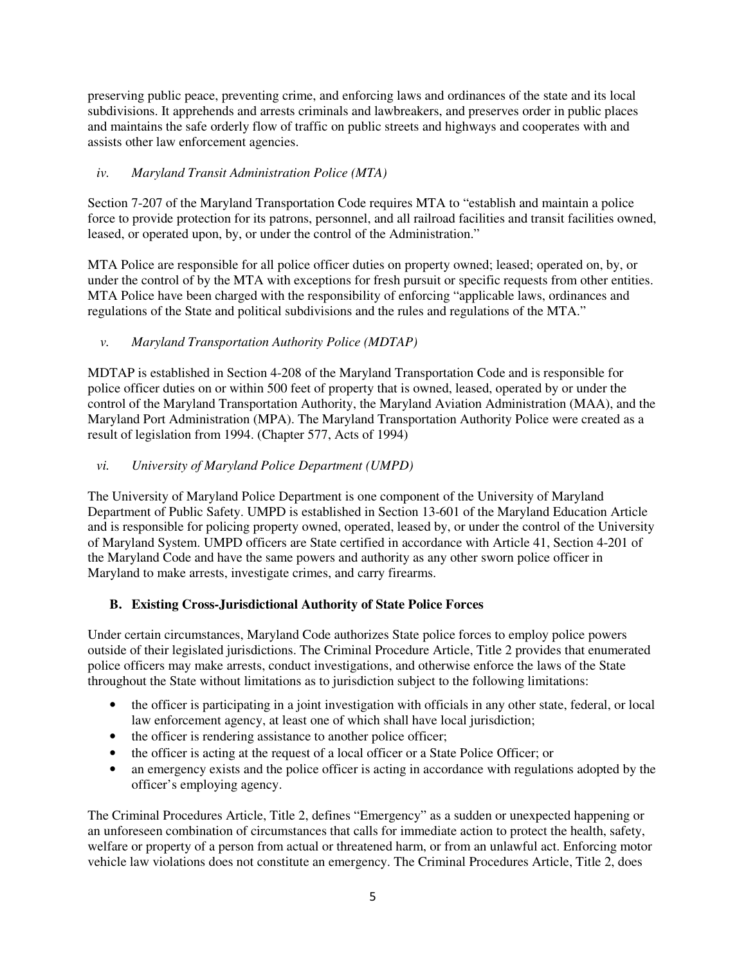preserving public peace, preventing crime, and enforcing laws and ordinances of the state and its local subdivisions. It apprehends and arrests criminals and lawbreakers, and preserves order in public places and maintains the safe orderly flow of traffic on public streets and highways and cooperates with and assists other law enforcement agencies.

### *iv. Maryland Transit Administration Police (MTA)*

Section 7-207 of the Maryland Transportation Code requires MTA to "establish and maintain a police force to provide protection for its patrons, personnel, and all railroad facilities and transit facilities owned, leased, or operated upon, by, or under the control of the Administration."

MTA Police are responsible for all police officer duties on property owned; leased; operated on, by, or under the control of by the MTA with exceptions for fresh pursuit or specific requests from other entities. MTA Police have been charged with the responsibility of enforcing "applicable laws, ordinances and regulations of the State and political subdivisions and the rules and regulations of the MTA."

## *v. Maryland Transportation Authority Police (MDTAP)*

MDTAP is established in Section 4-208 of the Maryland Transportation Code and is responsible for police officer duties on or within 500 feet of property that is owned, leased, operated by or under the control of the Maryland Transportation Authority, the Maryland Aviation Administration (MAA), and the Maryland Port Administration (MPA). The Maryland Transportation Authority Police were created as a result of legislation from 1994. (Chapter 577, Acts of 1994)

## *vi. University of Maryland Police Department (UMPD)*

The University of Maryland Police Department is one component of the University of Maryland Department of Public Safety. UMPD is established in Section 13-601 of the Maryland Education Article and is responsible for policing property owned, operated, leased by, or under the control of the University of Maryland System. UMPD officers are State certified in accordance with Article 41, Section 4-201 of the Maryland Code and have the same powers and authority as any other sworn police officer in Maryland to make arrests, investigate crimes, and carry firearms.

## **B. Existing Cross-Jurisdictional Authority of State Police Forces**

Under certain circumstances, Maryland Code authorizes State police forces to employ police powers outside of their legislated jurisdictions. The Criminal Procedure Article, Title 2 provides that enumerated police officers may make arrests, conduct investigations, and otherwise enforce the laws of the State throughout the State without limitations as to jurisdiction subject to the following limitations:

- the officer is participating in a joint investigation with officials in any other state, federal, or local law enforcement agency, at least one of which shall have local jurisdiction;
- the officer is rendering assistance to another police officer;
- the officer is acting at the request of a local officer or a State Police Officer; or
- an emergency exists and the police officer is acting in accordance with regulations adopted by the officer's employing agency.

The Criminal Procedures Article, Title 2, defines "Emergency" as a sudden or unexpected happening or an unforeseen combination of circumstances that calls for immediate action to protect the health, safety, welfare or property of a person from actual or threatened harm, or from an unlawful act. Enforcing motor vehicle law violations does not constitute an emergency. The Criminal Procedures Article, Title 2, does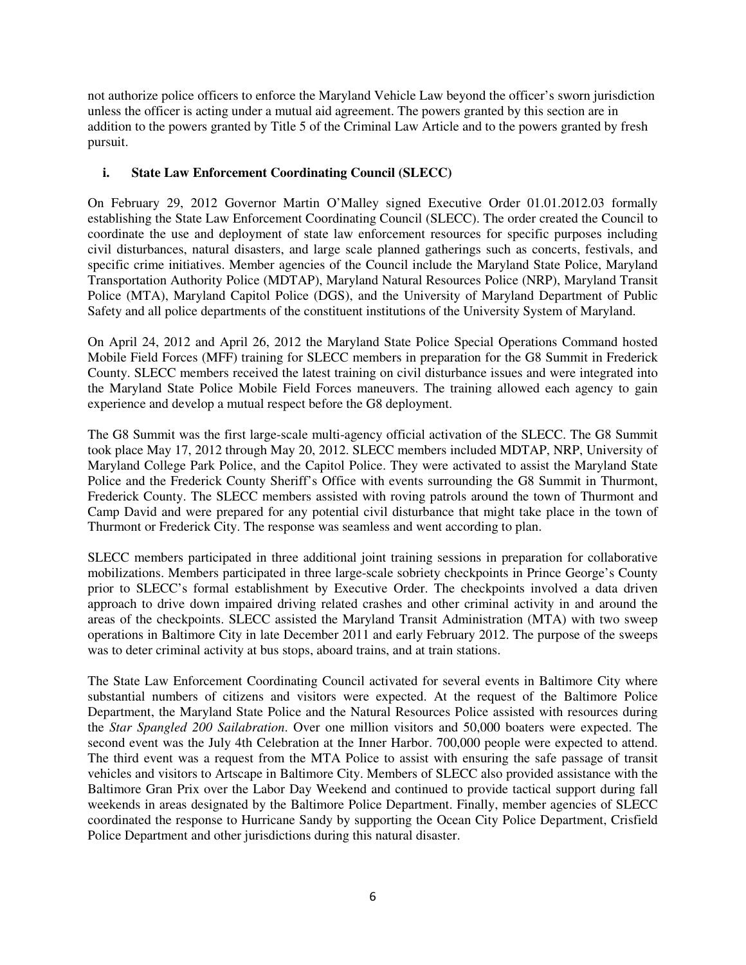not authorize police officers to enforce the Maryland Vehicle Law beyond the officer's sworn jurisdiction unless the officer is acting under a mutual aid agreement. The powers granted by this section are in addition to the powers granted by Title 5 of the Criminal Law Article and to the powers granted by fresh pursuit.

#### **i. State Law Enforcement Coordinating Council (SLECC)**

On February 29, 2012 Governor Martin O'Malley signed Executive Order 01.01.2012.03 formally establishing the State Law Enforcement Coordinating Council (SLECC). The order created the Council to coordinate the use and deployment of state law enforcement resources for specific purposes including civil disturbances, natural disasters, and large scale planned gatherings such as concerts, festivals, and specific crime initiatives. Member agencies of the Council include the Maryland State Police, Maryland Transportation Authority Police (MDTAP), Maryland Natural Resources Police (NRP), Maryland Transit Police (MTA), Maryland Capitol Police (DGS), and the University of Maryland Department of Public Safety and all police departments of the constituent institutions of the University System of Maryland.

On April 24, 2012 and April 26, 2012 the Maryland State Police Special Operations Command hosted Mobile Field Forces (MFF) training for SLECC members in preparation for the G8 Summit in Frederick County. SLECC members received the latest training on civil disturbance issues and were integrated into the Maryland State Police Mobile Field Forces maneuvers. The training allowed each agency to gain experience and develop a mutual respect before the G8 deployment.

The G8 Summit was the first large-scale multi-agency official activation of the SLECC. The G8 Summit took place May 17, 2012 through May 20, 2012. SLECC members included MDTAP, NRP, University of Maryland College Park Police, and the Capitol Police. They were activated to assist the Maryland State Police and the Frederick County Sheriff's Office with events surrounding the G8 Summit in Thurmont, Frederick County. The SLECC members assisted with roving patrols around the town of Thurmont and Camp David and were prepared for any potential civil disturbance that might take place in the town of Thurmont or Frederick City. The response was seamless and went according to plan.

SLECC members participated in three additional joint training sessions in preparation for collaborative mobilizations. Members participated in three large-scale sobriety checkpoints in Prince George's County prior to SLECC's formal establishment by Executive Order. The checkpoints involved a data driven approach to drive down impaired driving related crashes and other criminal activity in and around the areas of the checkpoints. SLECC assisted the Maryland Transit Administration (MTA) with two sweep operations in Baltimore City in late December 2011 and early February 2012. The purpose of the sweeps was to deter criminal activity at bus stops, aboard trains, and at train stations.

The State Law Enforcement Coordinating Council activated for several events in Baltimore City where substantial numbers of citizens and visitors were expected. At the request of the Baltimore Police Department, the Maryland State Police and the Natural Resources Police assisted with resources during the *Star Spangled 200 Sailabration*. Over one million visitors and 50,000 boaters were expected. The second event was the July 4th Celebration at the Inner Harbor. 700,000 people were expected to attend. The third event was a request from the MTA Police to assist with ensuring the safe passage of transit vehicles and visitors to Artscape in Baltimore City. Members of SLECC also provided assistance with the Baltimore Gran Prix over the Labor Day Weekend and continued to provide tactical support during fall weekends in areas designated by the Baltimore Police Department. Finally, member agencies of SLECC coordinated the response to Hurricane Sandy by supporting the Ocean City Police Department, Crisfield Police Department and other jurisdictions during this natural disaster.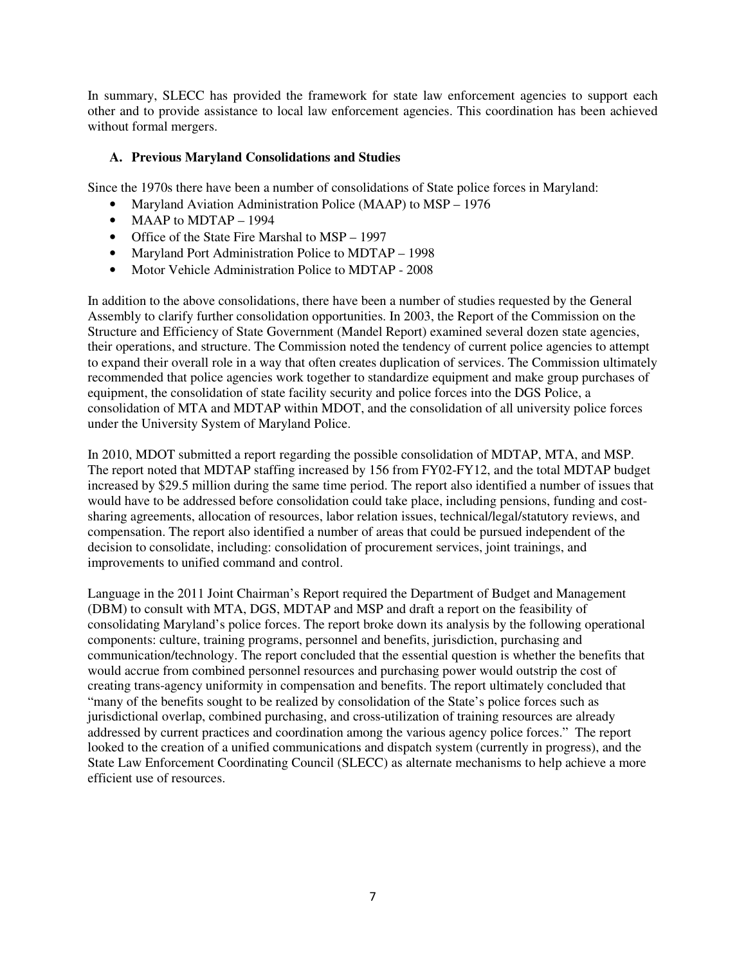In summary, SLECC has provided the framework for state law enforcement agencies to support each other and to provide assistance to local law enforcement agencies. This coordination has been achieved without formal mergers.

#### **A. Previous Maryland Consolidations and Studies**

Since the 1970s there have been a number of consolidations of State police forces in Maryland:

- Maryland Aviation Administration Police (MAAP) to MSP 1976
- MAAP to MDTAP 1994
- Office of the State Fire Marshal to MSP 1997
- Maryland Port Administration Police to MDTAP 1998
- Motor Vehicle Administration Police to MDTAP 2008

In addition to the above consolidations, there have been a number of studies requested by the General Assembly to clarify further consolidation opportunities. In 2003, the Report of the Commission on the Structure and Efficiency of State Government (Mandel Report) examined several dozen state agencies, their operations, and structure. The Commission noted the tendency of current police agencies to attempt to expand their overall role in a way that often creates duplication of services. The Commission ultimately recommended that police agencies work together to standardize equipment and make group purchases of equipment, the consolidation of state facility security and police forces into the DGS Police, a consolidation of MTA and MDTAP within MDOT, and the consolidation of all university police forces under the University System of Maryland Police.

In 2010, MDOT submitted a report regarding the possible consolidation of MDTAP, MTA, and MSP. The report noted that MDTAP staffing increased by 156 from FY02-FY12, and the total MDTAP budget increased by \$29.5 million during the same time period. The report also identified a number of issues that would have to be addressed before consolidation could take place, including pensions, funding and costsharing agreements, allocation of resources, labor relation issues, technical/legal/statutory reviews, and compensation. The report also identified a number of areas that could be pursued independent of the decision to consolidate, including: consolidation of procurement services, joint trainings, and improvements to unified command and control.

Language in the 2011 Joint Chairman's Report required the Department of Budget and Management (DBM) to consult with MTA, DGS, MDTAP and MSP and draft a report on the feasibility of consolidating Maryland's police forces. The report broke down its analysis by the following operational components: culture, training programs, personnel and benefits, jurisdiction, purchasing and communication/technology. The report concluded that the essential question is whether the benefits that would accrue from combined personnel resources and purchasing power would outstrip the cost of creating trans-agency uniformity in compensation and benefits. The report ultimately concluded that "many of the benefits sought to be realized by consolidation of the State's police forces such as jurisdictional overlap, combined purchasing, and cross-utilization of training resources are already addressed by current practices and coordination among the various agency police forces." The report looked to the creation of a unified communications and dispatch system (currently in progress), and the State Law Enforcement Coordinating Council (SLECC) as alternate mechanisms to help achieve a more efficient use of resources.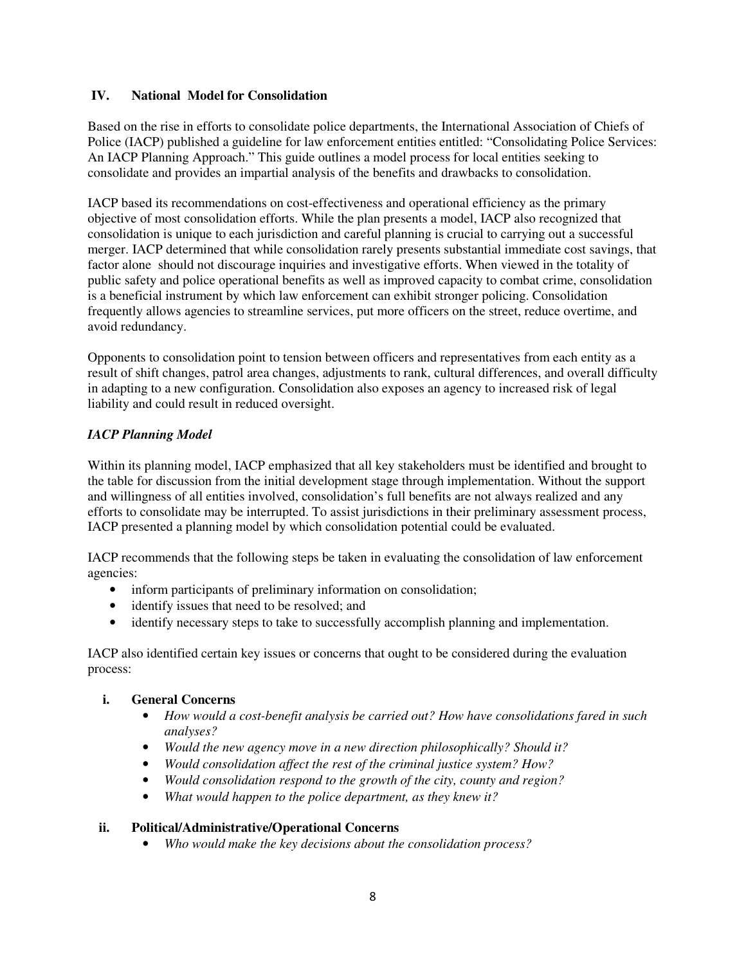#### **IV. National Model for Consolidation**

Based on the rise in efforts to consolidate police departments, the International Association of Chiefs of Police (IACP) published a guideline for law enforcement entities entitled: "Consolidating Police Services: An IACP Planning Approach." This guide outlines a model process for local entities seeking to consolidate and provides an impartial analysis of the benefits and drawbacks to consolidation.

IACP based its recommendations on cost-effectiveness and operational efficiency as the primary objective of most consolidation efforts. While the plan presents a model, IACP also recognized that consolidation is unique to each jurisdiction and careful planning is crucial to carrying out a successful merger. IACP determined that while consolidation rarely presents substantial immediate cost savings, that factor alone should not discourage inquiries and investigative efforts. When viewed in the totality of public safety and police operational benefits as well as improved capacity to combat crime, consolidation is a beneficial instrument by which law enforcement can exhibit stronger policing. Consolidation frequently allows agencies to streamline services, put more officers on the street, reduce overtime, and avoid redundancy.

Opponents to consolidation point to tension between officers and representatives from each entity as a result of shift changes, patrol area changes, adjustments to rank, cultural differences, and overall difficulty in adapting to a new configuration. Consolidation also exposes an agency to increased risk of legal liability and could result in reduced oversight.

## *IACP Planning Model*

Within its planning model, IACP emphasized that all key stakeholders must be identified and brought to the table for discussion from the initial development stage through implementation. Without the support and willingness of all entities involved, consolidation's full benefits are not always realized and any efforts to consolidate may be interrupted. To assist jurisdictions in their preliminary assessment process, IACP presented a planning model by which consolidation potential could be evaluated.

IACP recommends that the following steps be taken in evaluating the consolidation of law enforcement agencies:

- inform participants of preliminary information on consolidation;
- identify issues that need to be resolved; and
- identify necessary steps to take to successfully accomplish planning and implementation.

IACP also identified certain key issues or concerns that ought to be considered during the evaluation process:

## **i. General Concerns**

- *How would a cost-benefit analysis be carried out? How have consolidations fared in such analyses?*
- *Would the new agency move in a new direction philosophically? Should it?*
- *Would consolidation affect the rest of the criminal justice system? How?*
- *Would consolidation respond to the growth of the city, county and region?*
- *What would happen to the police department, as they knew it?*

## **ii. Political/Administrative/Operational Concerns**

• *Who would make the key decisions about the consolidation process?*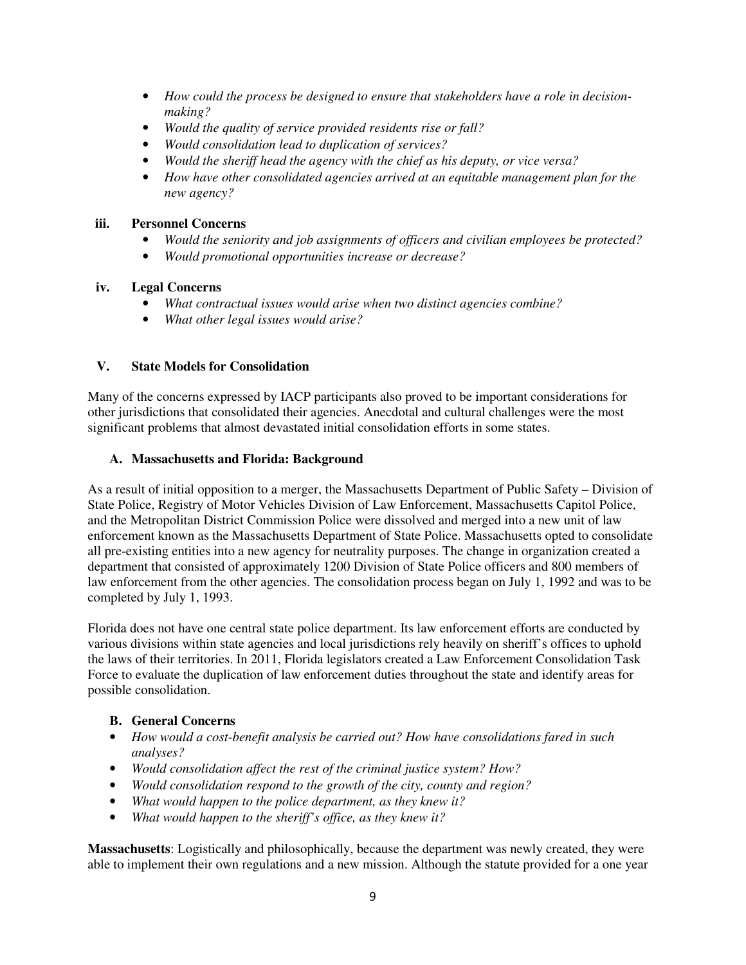- *How could the process be designed to ensure that stakeholders have a role in decisionmaking?*
- *Would the quality of service provided residents rise or fall?*
- *Would consolidation lead to duplication of services?*
- *Would the sheriff head the agency with the chief as his deputy, or vice versa?*
- *How have other consolidated agencies arrived at an equitable management plan for the new agency?*

#### **iii. Personnel Concerns**

- *Would the seniority and job assignments of officers and civilian employees be protected?*
- *Would promotional opportunities increase or decrease?*

#### **iv. Legal Concerns**

- *What contractual issues would arise when two distinct agencies combine?*
- *What other legal issues would arise?*

#### **V. State Models for Consolidation**

Many of the concerns expressed by IACP participants also proved to be important considerations for other jurisdictions that consolidated their agencies. Anecdotal and cultural challenges were the most significant problems that almost devastated initial consolidation efforts in some states.

#### **A. Massachusetts and Florida: Background**

As a result of initial opposition to a merger, the Massachusetts Department of Public Safety – Division of State Police, Registry of Motor Vehicles Division of Law Enforcement, Massachusetts Capitol Police, and the Metropolitan District Commission Police were dissolved and merged into a new unit of law enforcement known as the Massachusetts Department of State Police. Massachusetts opted to consolidate all pre-existing entities into a new agency for neutrality purposes. The change in organization created a department that consisted of approximately 1200 Division of State Police officers and 800 members of law enforcement from the other agencies. The consolidation process began on July 1, 1992 and was to be completed by July 1, 1993.

Florida does not have one central state police department. Its law enforcement efforts are conducted by various divisions within state agencies and local jurisdictions rely heavily on sheriff's offices to uphold the laws of their territories. In 2011, Florida legislators created a Law Enforcement Consolidation Task Force to evaluate the duplication of law enforcement duties throughout the state and identify areas for possible consolidation.

## **B. General Concerns**

- *How would a cost-benefit analysis be carried out? How have consolidations fared in such analyses?*
- *Would consolidation affect the rest of the criminal justice system? How?*
- *Would consolidation respond to the growth of the city, county and region?*
- *What would happen to the police department, as they knew it?*
- *What would happen to the sheriff's office, as they knew it?*

**Massachusetts**: Logistically and philosophically, because the department was newly created, they were able to implement their own regulations and a new mission. Although the statute provided for a one year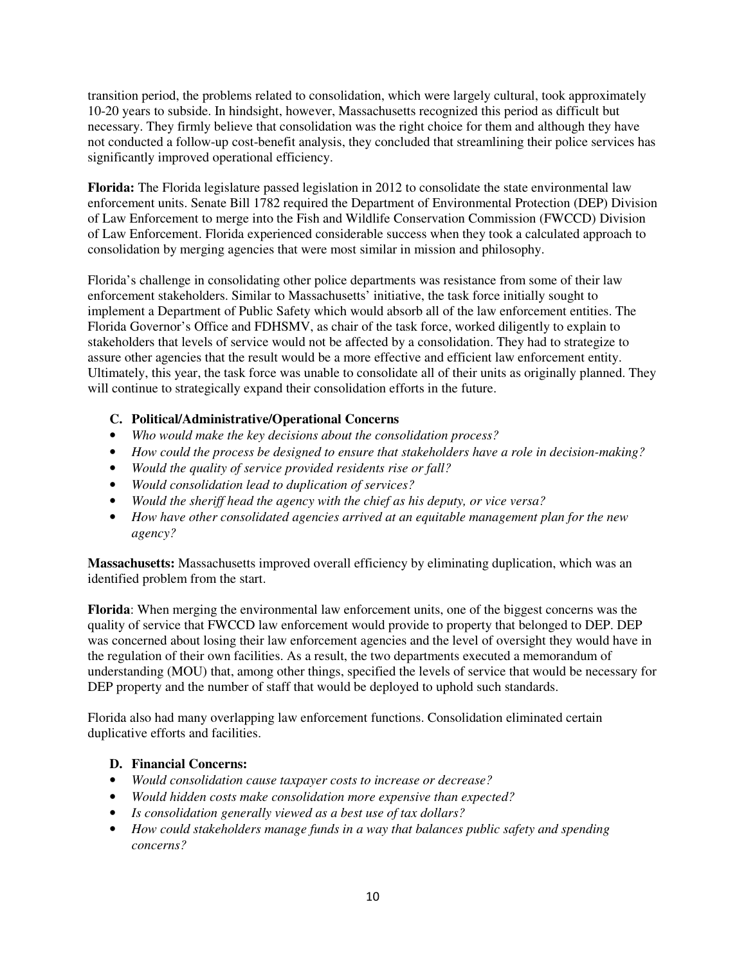transition period, the problems related to consolidation, which were largely cultural, took approximately 10-20 years to subside. In hindsight, however, Massachusetts recognized this period as difficult but necessary. They firmly believe that consolidation was the right choice for them and although they have not conducted a follow-up cost-benefit analysis, they concluded that streamlining their police services has significantly improved operational efficiency.

**Florida:** The Florida legislature passed legislation in 2012 to consolidate the state environmental law enforcement units. Senate Bill 1782 required the Department of Environmental Protection (DEP) Division of Law Enforcement to merge into the Fish and Wildlife Conservation Commission (FWCCD) Division of Law Enforcement. Florida experienced considerable success when they took a calculated approach to consolidation by merging agencies that were most similar in mission and philosophy.

Florida's challenge in consolidating other police departments was resistance from some of their law enforcement stakeholders. Similar to Massachusetts' initiative, the task force initially sought to implement a Department of Public Safety which would absorb all of the law enforcement entities. The Florida Governor's Office and FDHSMV, as chair of the task force, worked diligently to explain to stakeholders that levels of service would not be affected by a consolidation. They had to strategize to assure other agencies that the result would be a more effective and efficient law enforcement entity. Ultimately, this year, the task force was unable to consolidate all of their units as originally planned. They will continue to strategically expand their consolidation efforts in the future.

## **C. Political/Administrative/Operational Concerns**

- *Who would make the key decisions about the consolidation process?*
- *How could the process be designed to ensure that stakeholders have a role in decision-making?*
- *Would the quality of service provided residents rise or fall?*
- *Would consolidation lead to duplication of services?*
- *Would the sheriff head the agency with the chief as his deputy, or vice versa?*
- *How have other consolidated agencies arrived at an equitable management plan for the new agency?*

**Massachusetts:** Massachusetts improved overall efficiency by eliminating duplication, which was an identified problem from the start.

**Florida**: When merging the environmental law enforcement units, one of the biggest concerns was the quality of service that FWCCD law enforcement would provide to property that belonged to DEP. DEP was concerned about losing their law enforcement agencies and the level of oversight they would have in the regulation of their own facilities. As a result, the two departments executed a memorandum of understanding (MOU) that, among other things, specified the levels of service that would be necessary for DEP property and the number of staff that would be deployed to uphold such standards.

Florida also had many overlapping law enforcement functions. Consolidation eliminated certain duplicative efforts and facilities.

## **D. Financial Concerns:**

- *Would consolidation cause taxpayer costs to increase or decrease?*
- *Would hidden costs make consolidation more expensive than expected?*
- *Is consolidation generally viewed as a best use of tax dollars?*
- *How could stakeholders manage funds in a way that balances public safety and spending concerns?*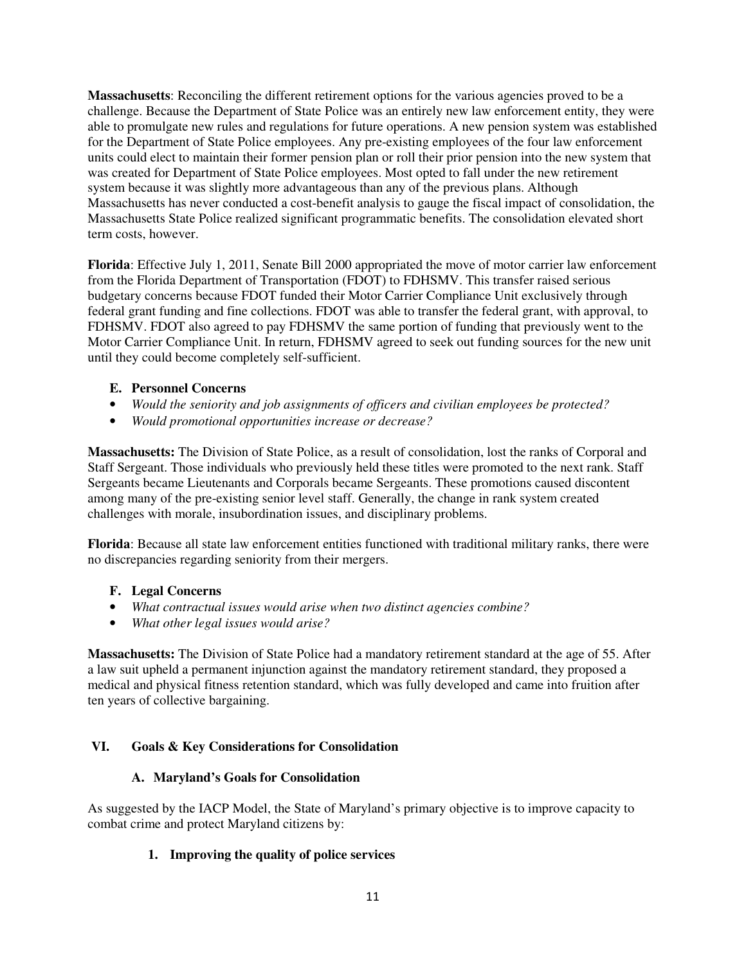**Massachusetts**: Reconciling the different retirement options for the various agencies proved to be a challenge. Because the Department of State Police was an entirely new law enforcement entity, they were able to promulgate new rules and regulations for future operations. A new pension system was established for the Department of State Police employees. Any pre-existing employees of the four law enforcement units could elect to maintain their former pension plan or roll their prior pension into the new system that was created for Department of State Police employees. Most opted to fall under the new retirement system because it was slightly more advantageous than any of the previous plans. Although Massachusetts has never conducted a cost-benefit analysis to gauge the fiscal impact of consolidation, the Massachusetts State Police realized significant programmatic benefits. The consolidation elevated short term costs, however.

**Florida**: Effective July 1, 2011, Senate Bill 2000 appropriated the move of motor carrier law enforcement from the Florida Department of Transportation (FDOT) to FDHSMV. This transfer raised serious budgetary concerns because FDOT funded their Motor Carrier Compliance Unit exclusively through federal grant funding and fine collections. FDOT was able to transfer the federal grant, with approval, to FDHSMV. FDOT also agreed to pay FDHSMV the same portion of funding that previously went to the Motor Carrier Compliance Unit. In return, FDHSMV agreed to seek out funding sources for the new unit until they could become completely self-sufficient.

## **E. Personnel Concerns**

- *Would the seniority and job assignments of officers and civilian employees be protected?*
- *Would promotional opportunities increase or decrease?*

**Massachusetts:** The Division of State Police, as a result of consolidation, lost the ranks of Corporal and Staff Sergeant. Those individuals who previously held these titles were promoted to the next rank. Staff Sergeants became Lieutenants and Corporals became Sergeants. These promotions caused discontent among many of the pre-existing senior level staff. Generally, the change in rank system created challenges with morale, insubordination issues, and disciplinary problems.

**Florida**: Because all state law enforcement entities functioned with traditional military ranks, there were no discrepancies regarding seniority from their mergers.

## **F. Legal Concerns**

- *What contractual issues would arise when two distinct agencies combine?*
- *What other legal issues would arise?*

**Massachusetts:** The Division of State Police had a mandatory retirement standard at the age of 55. After a law suit upheld a permanent injunction against the mandatory retirement standard, they proposed a medical and physical fitness retention standard, which was fully developed and came into fruition after ten years of collective bargaining.

## **VI. Goals & Key Considerations for Consolidation**

#### **A. Maryland's Goals for Consolidation**

As suggested by the IACP Model, the State of Maryland's primary objective is to improve capacity to combat crime and protect Maryland citizens by:

## **1. Improving the quality of police services**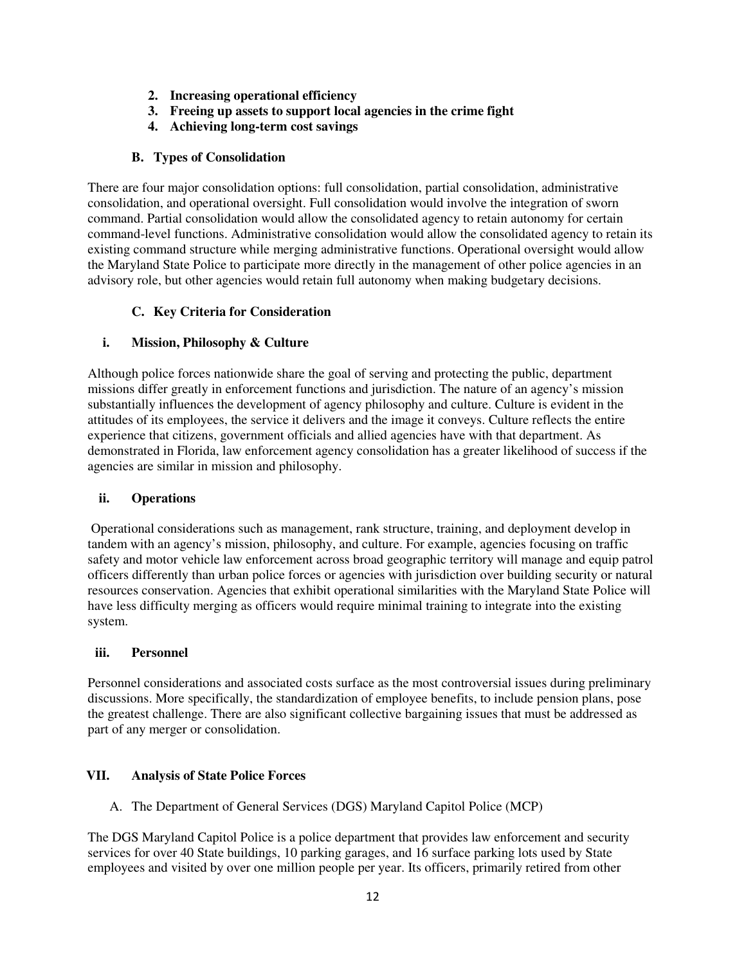- **2. Increasing operational efficiency**
- **3. Freeing up assets to support local agencies in the crime fight**
- **4. Achieving long-term cost savings**

#### **B. Types of Consolidation**

There are four major consolidation options: full consolidation, partial consolidation, administrative consolidation, and operational oversight. Full consolidation would involve the integration of sworn command. Partial consolidation would allow the consolidated agency to retain autonomy for certain command-level functions. Administrative consolidation would allow the consolidated agency to retain its existing command structure while merging administrative functions. Operational oversight would allow the Maryland State Police to participate more directly in the management of other police agencies in an advisory role, but other agencies would retain full autonomy when making budgetary decisions.

## **C. Key Criteria for Consideration**

#### **i. Mission, Philosophy & Culture**

Although police forces nationwide share the goal of serving and protecting the public, department missions differ greatly in enforcement functions and jurisdiction. The nature of an agency's mission substantially influences the development of agency philosophy and culture. Culture is evident in the attitudes of its employees, the service it delivers and the image it conveys. Culture reflects the entire experience that citizens, government officials and allied agencies have with that department. As demonstrated in Florida, law enforcement agency consolidation has a greater likelihood of success if the agencies are similar in mission and philosophy.

#### **ii. Operations**

 Operational considerations such as management, rank structure, training, and deployment develop in tandem with an agency's mission, philosophy, and culture. For example, agencies focusing on traffic safety and motor vehicle law enforcement across broad geographic territory will manage and equip patrol officers differently than urban police forces or agencies with jurisdiction over building security or natural resources conservation. Agencies that exhibit operational similarities with the Maryland State Police will have less difficulty merging as officers would require minimal training to integrate into the existing system.

#### **iii. Personnel**

Personnel considerations and associated costs surface as the most controversial issues during preliminary discussions. More specifically, the standardization of employee benefits, to include pension plans, pose the greatest challenge. There are also significant collective bargaining issues that must be addressed as part of any merger or consolidation.

#### **VII. Analysis of State Police Forces**

A. The Department of General Services (DGS) Maryland Capitol Police (MCP)

The DGS Maryland Capitol Police is a police department that provides law enforcement and security services for over 40 State buildings, 10 parking garages, and 16 surface parking lots used by State employees and visited by over one million people per year. Its officers, primarily retired from other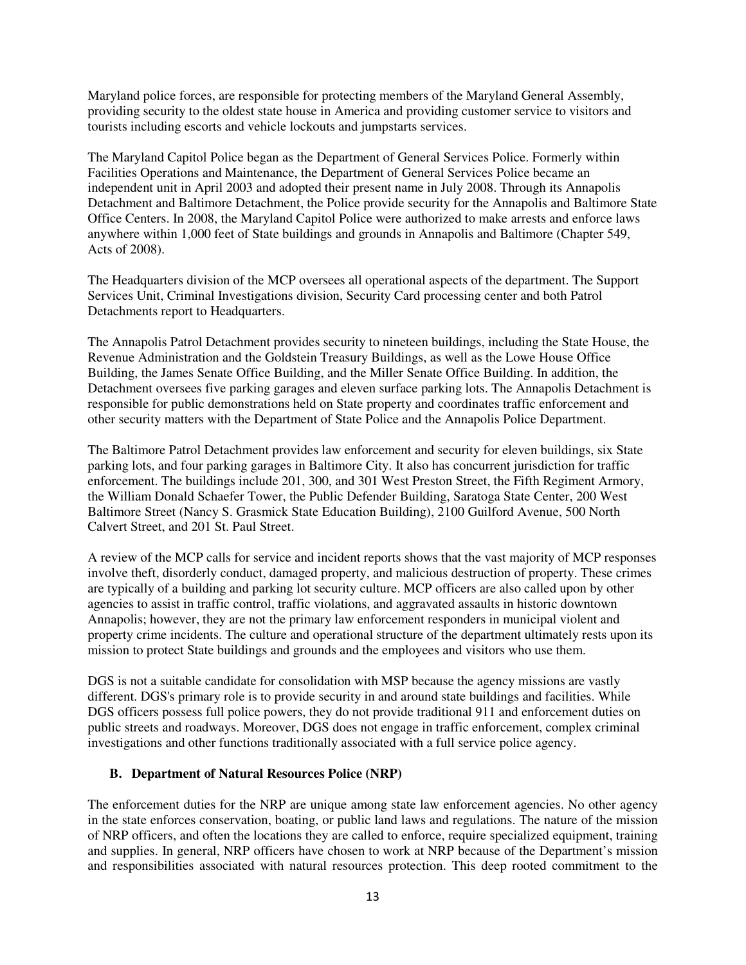Maryland police forces, are responsible for protecting members of the Maryland General Assembly, providing security to the oldest state house in America and providing customer service to visitors and tourists including escorts and vehicle lockouts and jumpstarts services.

The Maryland Capitol Police began as the Department of General Services Police. Formerly within Facilities Operations and Maintenance, the Department of General Services Police became an independent unit in April 2003 and adopted their present name in July 2008. Through its Annapolis Detachment and Baltimore Detachment, the Police provide security for the Annapolis and Baltimore State Office Centers. In 2008, the Maryland Capitol Police were authorized to make arrests and enforce laws anywhere within 1,000 feet of State buildings and grounds in Annapolis and Baltimore (Chapter 549, Acts of 2008).

The Headquarters division of the MCP oversees all operational aspects of the department. The Support Services Unit, Criminal Investigations division, Security Card processing center and both Patrol Detachments report to Headquarters.

The Annapolis Patrol Detachment provides security to nineteen buildings, including the State House, the Revenue Administration and the Goldstein Treasury Buildings, as well as the Lowe House Office Building, the James Senate Office Building, and the Miller Senate Office Building. In addition, the Detachment oversees five parking garages and eleven surface parking lots. The Annapolis Detachment is responsible for public demonstrations held on State property and coordinates traffic enforcement and other security matters with the Department of State Police and the Annapolis Police Department.

The Baltimore Patrol Detachment provides law enforcement and security for eleven buildings, six State parking lots, and four parking garages in Baltimore City. It also has concurrent jurisdiction for traffic enforcement. The buildings include 201, 300, and 301 West Preston Street, the Fifth Regiment Armory, the William Donald Schaefer Tower, the Public Defender Building, Saratoga State Center, 200 West Baltimore Street (Nancy S. Grasmick State Education Building), 2100 Guilford Avenue, 500 North Calvert Street, and 201 St. Paul Street.

A review of the MCP calls for service and incident reports shows that the vast majority of MCP responses involve theft, disorderly conduct, damaged property, and malicious destruction of property. These crimes are typically of a building and parking lot security culture. MCP officers are also called upon by other agencies to assist in traffic control, traffic violations, and aggravated assaults in historic downtown Annapolis; however, they are not the primary law enforcement responders in municipal violent and property crime incidents. The culture and operational structure of the department ultimately rests upon its mission to protect State buildings and grounds and the employees and visitors who use them.

DGS is not a suitable candidate for consolidation with MSP because the agency missions are vastly different. DGS's primary role is to provide security in and around state buildings and facilities. While DGS officers possess full police powers, they do not provide traditional 911 and enforcement duties on public streets and roadways. Moreover, DGS does not engage in traffic enforcement, complex criminal investigations and other functions traditionally associated with a full service police agency.

#### **B. Department of Natural Resources Police (NRP)**

The enforcement duties for the NRP are unique among state law enforcement agencies. No other agency in the state enforces conservation, boating, or public land laws and regulations. The nature of the mission of NRP officers, and often the locations they are called to enforce, require specialized equipment, training and supplies. In general, NRP officers have chosen to work at NRP because of the Department's mission and responsibilities associated with natural resources protection. This deep rooted commitment to the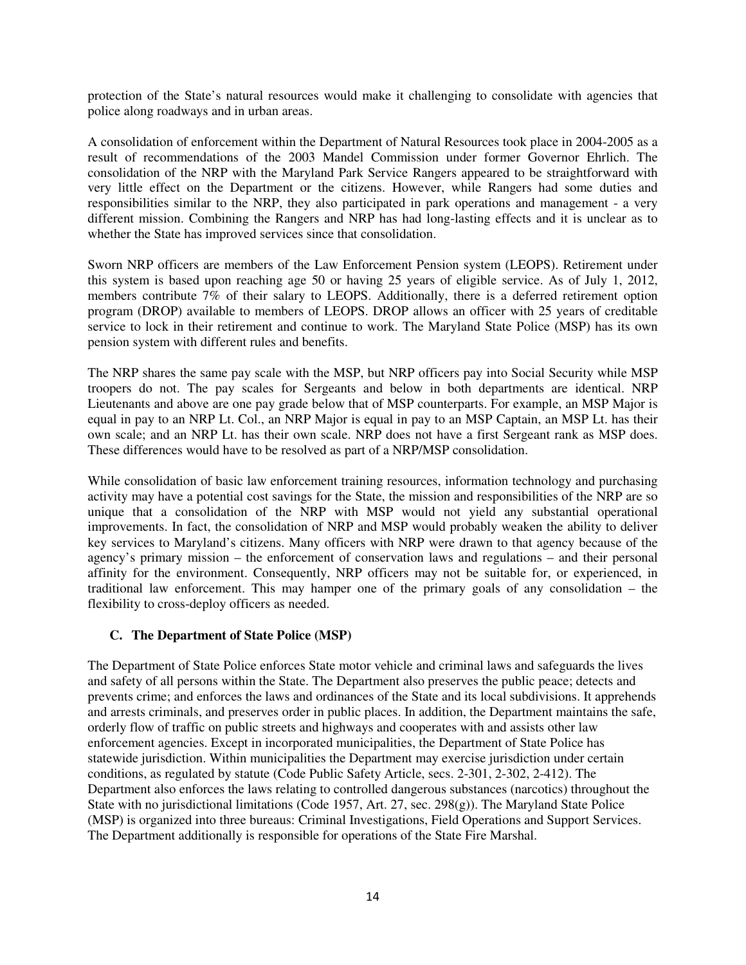protection of the State's natural resources would make it challenging to consolidate with agencies that police along roadways and in urban areas.

A consolidation of enforcement within the Department of Natural Resources took place in 2004-2005 as a result of recommendations of the 2003 Mandel Commission under former Governor Ehrlich. The consolidation of the NRP with the Maryland Park Service Rangers appeared to be straightforward with very little effect on the Department or the citizens. However, while Rangers had some duties and responsibilities similar to the NRP, they also participated in park operations and management - a very different mission. Combining the Rangers and NRP has had long-lasting effects and it is unclear as to whether the State has improved services since that consolidation.

Sworn NRP officers are members of the Law Enforcement Pension system (LEOPS). Retirement under this system is based upon reaching age 50 or having 25 years of eligible service. As of July 1, 2012, members contribute 7% of their salary to LEOPS. Additionally, there is a deferred retirement option program (DROP) available to members of LEOPS. DROP allows an officer with 25 years of creditable service to lock in their retirement and continue to work. The Maryland State Police (MSP) has its own pension system with different rules and benefits.

The NRP shares the same pay scale with the MSP, but NRP officers pay into Social Security while MSP troopers do not. The pay scales for Sergeants and below in both departments are identical. NRP Lieutenants and above are one pay grade below that of MSP counterparts. For example, an MSP Major is equal in pay to an NRP Lt. Col., an NRP Major is equal in pay to an MSP Captain, an MSP Lt. has their own scale; and an NRP Lt. has their own scale. NRP does not have a first Sergeant rank as MSP does. These differences would have to be resolved as part of a NRP/MSP consolidation.

While consolidation of basic law enforcement training resources, information technology and purchasing activity may have a potential cost savings for the State, the mission and responsibilities of the NRP are so unique that a consolidation of the NRP with MSP would not yield any substantial operational improvements. In fact, the consolidation of NRP and MSP would probably weaken the ability to deliver key services to Maryland's citizens. Many officers with NRP were drawn to that agency because of the agency's primary mission – the enforcement of conservation laws and regulations – and their personal affinity for the environment. Consequently, NRP officers may not be suitable for, or experienced, in traditional law enforcement. This may hamper one of the primary goals of any consolidation – the flexibility to cross-deploy officers as needed.

#### **C. The Department of State Police (MSP)**

The Department of State Police enforces State motor vehicle and criminal laws and safeguards the lives and safety of all persons within the State. The Department also preserves the public peace; detects and prevents crime; and enforces the laws and ordinances of the State and its local subdivisions. It apprehends and arrests criminals, and preserves order in public places. In addition, the Department maintains the safe, orderly flow of traffic on public streets and highways and cooperates with and assists other law enforcement agencies. Except in incorporated municipalities, the Department of State Police has statewide jurisdiction. Within municipalities the Department may exercise jurisdiction under certain conditions, as regulated by statute (Code Public Safety Article, secs. 2-301, 2-302, 2-412). The Department also enforces the laws relating to controlled dangerous substances (narcotics) throughout the State with no jurisdictional limitations (Code 1957, Art. 27, sec. 298(g)). The Maryland State Police (MSP) is organized into three bureaus: Criminal Investigations, Field Operations and Support Services. The Department additionally is responsible for operations of the State Fire Marshal.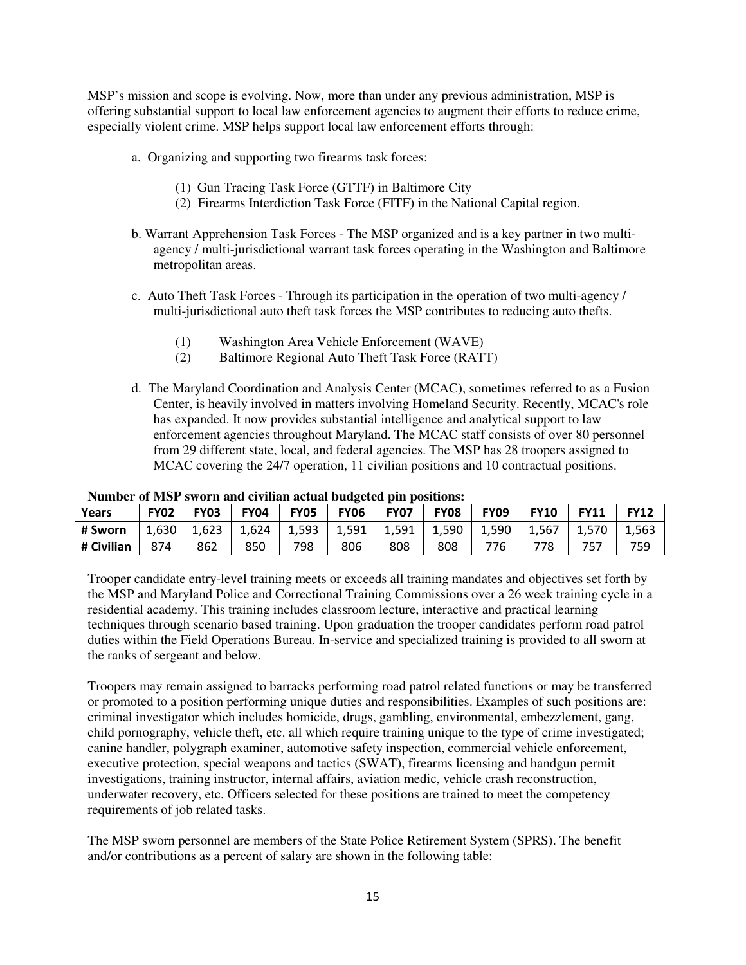MSP's mission and scope is evolving. Now, more than under any previous administration, MSP is offering substantial support to local law enforcement agencies to augment their efforts to reduce crime, especially violent crime. MSP helps support local law enforcement efforts through:

- a. Organizing and supporting two firearms task forces:
	- (1) Gun Tracing Task Force (GTTF) in Baltimore City
	- (2) Firearms Interdiction Task Force (FITF) in the National Capital region.
- b. Warrant Apprehension Task Forces The MSP organized and is a key partner in two multiagency / multi-jurisdictional warrant task forces operating in the Washington and Baltimore metropolitan areas.
- c. Auto Theft Task Forces Through its participation in the operation of two multi-agency / multi-jurisdictional auto theft task forces the MSP contributes to reducing auto thefts.
	- (1) Washington Area Vehicle Enforcement (WAVE)
	- (2) Baltimore Regional Auto Theft Task Force (RATT)
- d. The Maryland Coordination and Analysis Center (MCAC), sometimes referred to as a Fusion Center, is heavily involved in matters involving Homeland Security. Recently, MCAC's role has expanded. It now provides substantial intelligence and analytical support to law enforcement agencies throughout Maryland. The MCAC staff consists of over 80 personnel from 29 different state, local, and federal agencies. The MSP has 28 troopers assigned to MCAC covering the 24/7 operation, 11 civilian positions and 10 contractual positions.

| танност от мют вноги ана сглими астам ваадства рит розглоня.<br>Years | <b>FY02</b> | <b>FY03</b> | <b>FY04</b> | <b>FY05</b> | <b>FY06</b> | <b>FY07</b>                           | <b>FY08</b> | <b>FY09</b> | <b>FY10</b> | <b>FY11</b> | <b>FY12</b> |
|-----------------------------------------------------------------------|-------------|-------------|-------------|-------------|-------------|---------------------------------------|-------------|-------------|-------------|-------------|-------------|
|                                                                       |             |             |             |             |             |                                       |             |             |             |             |             |
| # Sworn                                                               | 1.630       | 1,623       | 1,624       | 1,593       |             | 1,591   1,591   1,590   1,590   1,567 |             |             |             | 1.570       | 1.563       |
| # Civilian                                                            | 874         | 862         | 850         | 798         | 806         | 808                                   | 808         | 776         | 778         | 757         | 759         |

#### **Number of MSP sworn and civilian actual budgeted pin positions:**

Trooper candidate entry-level training meets or exceeds all training mandates and objectives set forth by the MSP and Maryland Police and Correctional Training Commissions over a 26 week training cycle in a residential academy. This training includes classroom lecture, interactive and practical learning techniques through scenario based training. Upon graduation the trooper candidates perform road patrol duties within the Field Operations Bureau. In-service and specialized training is provided to all sworn at the ranks of sergeant and below.

Troopers may remain assigned to barracks performing road patrol related functions or may be transferred or promoted to a position performing unique duties and responsibilities. Examples of such positions are: criminal investigator which includes homicide, drugs, gambling, environmental, embezzlement, gang, child pornography, vehicle theft, etc. all which require training unique to the type of crime investigated; canine handler, polygraph examiner, automotive safety inspection, commercial vehicle enforcement, executive protection, special weapons and tactics (SWAT), firearms licensing and handgun permit investigations, training instructor, internal affairs, aviation medic, vehicle crash reconstruction, underwater recovery, etc. Officers selected for these positions are trained to meet the competency requirements of job related tasks.

The MSP sworn personnel are members of the State Police Retirement System (SPRS). The benefit and/or contributions as a percent of salary are shown in the following table: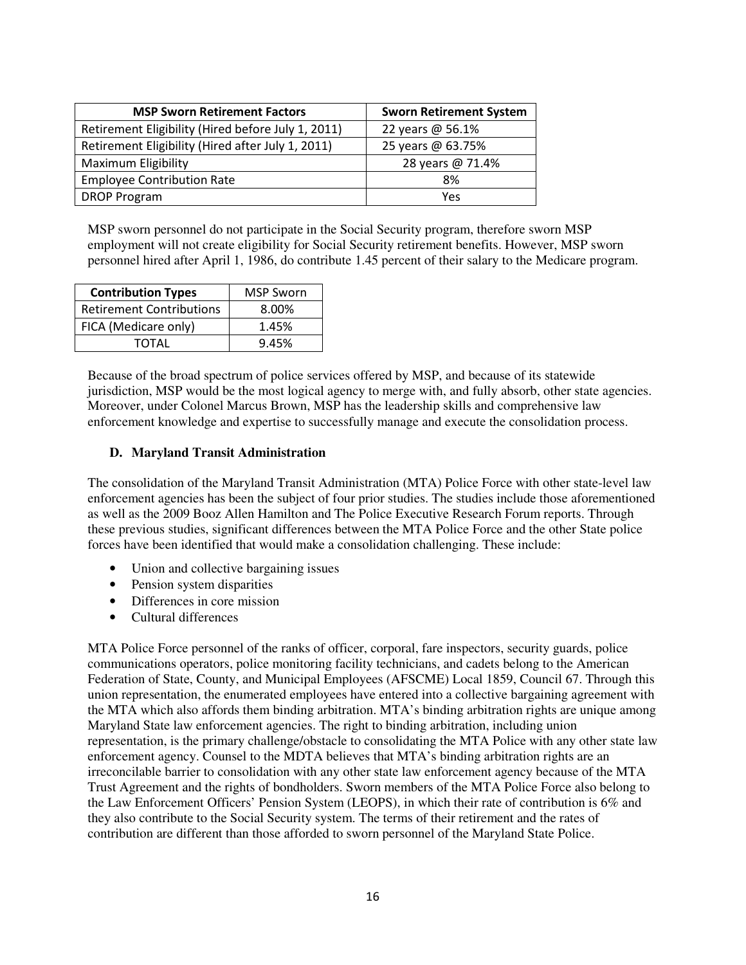| <b>MSP Sworn Retirement Factors</b>                | <b>Sworn Retirement System</b> |
|----------------------------------------------------|--------------------------------|
| Retirement Eligibility (Hired before July 1, 2011) | 22 years @ 56.1%               |
| Retirement Eligibility (Hired after July 1, 2011)  | 25 years @ 63.75%              |
| <b>Maximum Eligibility</b>                         | 28 years @ 71.4%               |
| <b>Employee Contribution Rate</b>                  | 8%                             |
| <b>DROP Program</b>                                | Yes                            |

MSP sworn personnel do not participate in the Social Security program, therefore sworn MSP employment will not create eligibility for Social Security retirement benefits. However, MSP sworn personnel hired after April 1, 1986, do contribute 1.45 percent of their salary to the Medicare program.

| <b>Contribution Types</b>       | <b>MSP Sworn</b> |
|---------------------------------|------------------|
| <b>Retirement Contributions</b> | 8.00%            |
| FICA (Medicare only)            | 1.45%            |
| <b>TOTAL</b>                    | 9.45%            |

Because of the broad spectrum of police services offered by MSP, and because of its statewide jurisdiction, MSP would be the most logical agency to merge with, and fully absorb, other state agencies. Moreover, under Colonel Marcus Brown, MSP has the leadership skills and comprehensive law enforcement knowledge and expertise to successfully manage and execute the consolidation process.

#### **D. Maryland Transit Administration**

The consolidation of the Maryland Transit Administration (MTA) Police Force with other state-level law enforcement agencies has been the subject of four prior studies. The studies include those aforementioned as well as the 2009 Booz Allen Hamilton and The Police Executive Research Forum reports. Through these previous studies, significant differences between the MTA Police Force and the other State police forces have been identified that would make a consolidation challenging. These include:

- Union and collective bargaining issues
- Pension system disparities
- Differences in core mission
- Cultural differences

MTA Police Force personnel of the ranks of officer, corporal, fare inspectors, security guards, police communications operators, police monitoring facility technicians, and cadets belong to the American Federation of State, County, and Municipal Employees (AFSCME) Local 1859, Council 67. Through this union representation, the enumerated employees have entered into a collective bargaining agreement with the MTA which also affords them binding arbitration. MTA's binding arbitration rights are unique among Maryland State law enforcement agencies. The right to binding arbitration, including union representation, is the primary challenge/obstacle to consolidating the MTA Police with any other state law enforcement agency. Counsel to the MDTA believes that MTA's binding arbitration rights are an irreconcilable barrier to consolidation with any other state law enforcement agency because of the MTA Trust Agreement and the rights of bondholders. Sworn members of the MTA Police Force also belong to the Law Enforcement Officers' Pension System (LEOPS), in which their rate of contribution is 6% and they also contribute to the Social Security system. The terms of their retirement and the rates of contribution are different than those afforded to sworn personnel of the Maryland State Police.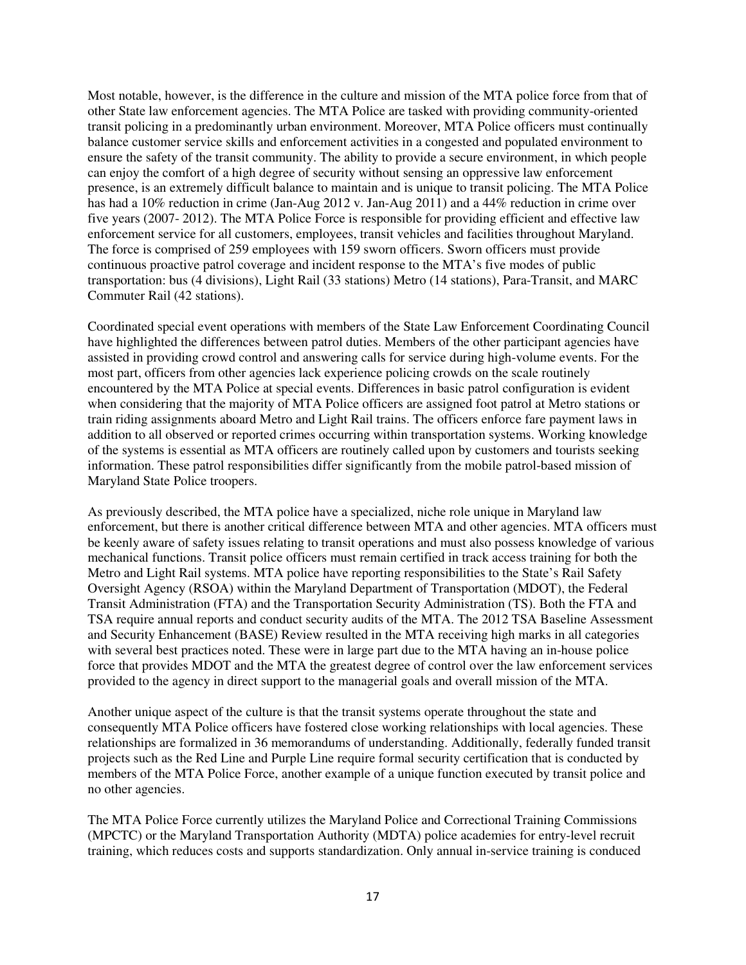Most notable, however, is the difference in the culture and mission of the MTA police force from that of other State law enforcement agencies. The MTA Police are tasked with providing community-oriented transit policing in a predominantly urban environment. Moreover, MTA Police officers must continually balance customer service skills and enforcement activities in a congested and populated environment to ensure the safety of the transit community. The ability to provide a secure environment, in which people can enjoy the comfort of a high degree of security without sensing an oppressive law enforcement presence, is an extremely difficult balance to maintain and is unique to transit policing. The MTA Police has had a 10% reduction in crime (Jan-Aug 2012 v. Jan-Aug 2011) and a 44% reduction in crime over five years (2007- 2012). The MTA Police Force is responsible for providing efficient and effective law enforcement service for all customers, employees, transit vehicles and facilities throughout Maryland. The force is comprised of 259 employees with 159 sworn officers. Sworn officers must provide continuous proactive patrol coverage and incident response to the MTA's five modes of public transportation: bus (4 divisions), Light Rail (33 stations) Metro (14 stations), Para-Transit, and MARC Commuter Rail (42 stations).

Coordinated special event operations with members of the State Law Enforcement Coordinating Council have highlighted the differences between patrol duties. Members of the other participant agencies have assisted in providing crowd control and answering calls for service during high-volume events. For the most part, officers from other agencies lack experience policing crowds on the scale routinely encountered by the MTA Police at special events. Differences in basic patrol configuration is evident when considering that the majority of MTA Police officers are assigned foot patrol at Metro stations or train riding assignments aboard Metro and Light Rail trains. The officers enforce fare payment laws in addition to all observed or reported crimes occurring within transportation systems. Working knowledge of the systems is essential as MTA officers are routinely called upon by customers and tourists seeking information. These patrol responsibilities differ significantly from the mobile patrol-based mission of Maryland State Police troopers.

As previously described, the MTA police have a specialized, niche role unique in Maryland law enforcement, but there is another critical difference between MTA and other agencies. MTA officers must be keenly aware of safety issues relating to transit operations and must also possess knowledge of various mechanical functions. Transit police officers must remain certified in track access training for both the Metro and Light Rail systems. MTA police have reporting responsibilities to the State's Rail Safety Oversight Agency (RSOA) within the Maryland Department of Transportation (MDOT), the Federal Transit Administration (FTA) and the Transportation Security Administration (TS). Both the FTA and TSA require annual reports and conduct security audits of the MTA. The 2012 TSA Baseline Assessment and Security Enhancement (BASE) Review resulted in the MTA receiving high marks in all categories with several best practices noted. These were in large part due to the MTA having an in-house police force that provides MDOT and the MTA the greatest degree of control over the law enforcement services provided to the agency in direct support to the managerial goals and overall mission of the MTA.

Another unique aspect of the culture is that the transit systems operate throughout the state and consequently MTA Police officers have fostered close working relationships with local agencies. These relationships are formalized in 36 memorandums of understanding. Additionally, federally funded transit projects such as the Red Line and Purple Line require formal security certification that is conducted by members of the MTA Police Force, another example of a unique function executed by transit police and no other agencies.

The MTA Police Force currently utilizes the Maryland Police and Correctional Training Commissions (MPCTC) or the Maryland Transportation Authority (MDTA) police academies for entry-level recruit training, which reduces costs and supports standardization. Only annual in-service training is conduced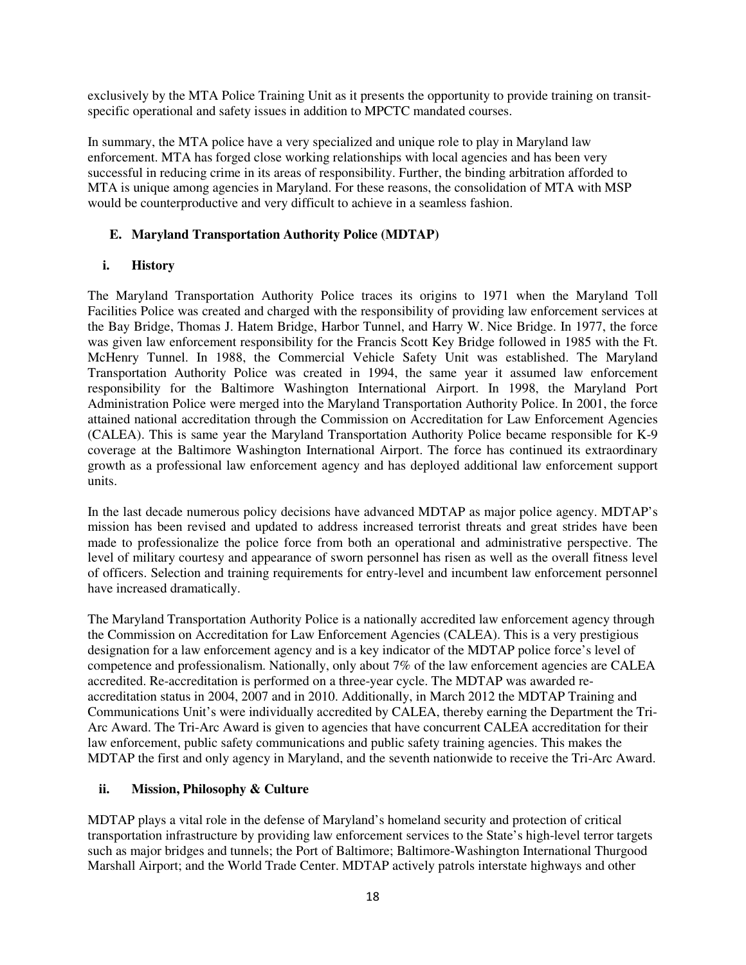exclusively by the MTA Police Training Unit as it presents the opportunity to provide training on transitspecific operational and safety issues in addition to MPCTC mandated courses.

In summary, the MTA police have a very specialized and unique role to play in Maryland law enforcement. MTA has forged close working relationships with local agencies and has been very successful in reducing crime in its areas of responsibility. Further, the binding arbitration afforded to MTA is unique among agencies in Maryland. For these reasons, the consolidation of MTA with MSP would be counterproductive and very difficult to achieve in a seamless fashion.

## **E. Maryland Transportation Authority Police (MDTAP)**

## **i. History**

The Maryland Transportation Authority Police traces its origins to 1971 when the Maryland Toll Facilities Police was created and charged with the responsibility of providing law enforcement services at the Bay Bridge, Thomas J. Hatem Bridge, Harbor Tunnel, and Harry W. Nice Bridge. In 1977, the force was given law enforcement responsibility for the Francis Scott Key Bridge followed in 1985 with the Ft. McHenry Tunnel. In 1988, the Commercial Vehicle Safety Unit was established. The Maryland Transportation Authority Police was created in 1994, the same year it assumed law enforcement responsibility for the Baltimore Washington International Airport. In 1998, the Maryland Port Administration Police were merged into the Maryland Transportation Authority Police. In 2001, the force attained national accreditation through the Commission on Accreditation for Law Enforcement Agencies (CALEA). This is same year the Maryland Transportation Authority Police became responsible for K-9 coverage at the Baltimore Washington International Airport. The force has continued its extraordinary growth as a professional law enforcement agency and has deployed additional law enforcement support units.

In the last decade numerous policy decisions have advanced MDTAP as major police agency. MDTAP's mission has been revised and updated to address increased terrorist threats and great strides have been made to professionalize the police force from both an operational and administrative perspective. The level of military courtesy and appearance of sworn personnel has risen as well as the overall fitness level of officers. Selection and training requirements for entry-level and incumbent law enforcement personnel have increased dramatically.

The Maryland Transportation Authority Police is a nationally accredited law enforcement agency through the Commission on Accreditation for Law Enforcement Agencies (CALEA). This is a very prestigious designation for a law enforcement agency and is a key indicator of the MDTAP police force's level of competence and professionalism. Nationally, only about 7% of the law enforcement agencies are CALEA accredited. Re-accreditation is performed on a three-year cycle. The MDTAP was awarded reaccreditation status in 2004, 2007 and in 2010. Additionally, in March 2012 the MDTAP Training and Communications Unit's were individually accredited by CALEA, thereby earning the Department the Tri-Arc Award. The Tri-Arc Award is given to agencies that have concurrent CALEA accreditation for their law enforcement, public safety communications and public safety training agencies. This makes the MDTAP the first and only agency in Maryland, and the seventh nationwide to receive the Tri-Arc Award.

## **ii. Mission, Philosophy & Culture**

MDTAP plays a vital role in the defense of Maryland's homeland security and protection of critical transportation infrastructure by providing law enforcement services to the State's high-level terror targets such as major bridges and tunnels; the Port of Baltimore; Baltimore-Washington International Thurgood Marshall Airport; and the World Trade Center. MDTAP actively patrols interstate highways and other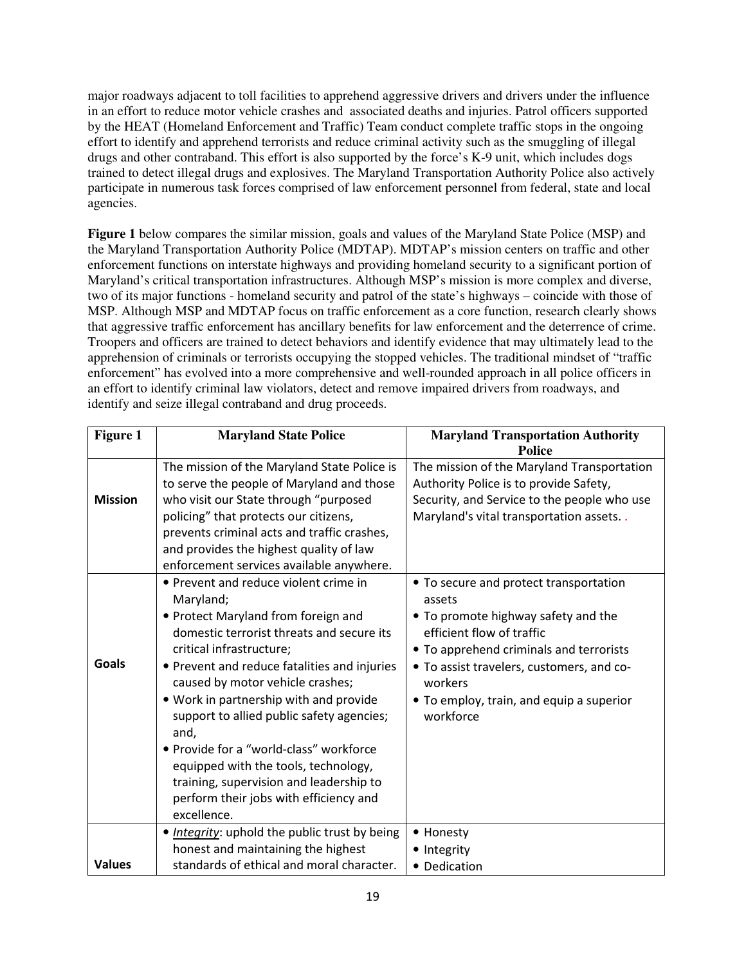major roadways adjacent to toll facilities to apprehend aggressive drivers and drivers under the influence in an effort to reduce motor vehicle crashes and associated deaths and injuries. Patrol officers supported by the HEAT (Homeland Enforcement and Traffic) Team conduct complete traffic stops in the ongoing effort to identify and apprehend terrorists and reduce criminal activity such as the smuggling of illegal drugs and other contraband. This effort is also supported by the force's K-9 unit, which includes dogs trained to detect illegal drugs and explosives. The Maryland Transportation Authority Police also actively participate in numerous task forces comprised of law enforcement personnel from federal, state and local agencies.

**Figure 1** below compares the similar mission, goals and values of the Maryland State Police (MSP) and the Maryland Transportation Authority Police (MDTAP). MDTAP's mission centers on traffic and other enforcement functions on interstate highways and providing homeland security to a significant portion of Maryland's critical transportation infrastructures. Although MSP's mission is more complex and diverse, two of its major functions - homeland security and patrol of the state's highways – coincide with those of MSP. Although MSP and MDTAP focus on traffic enforcement as a core function, research clearly shows that aggressive traffic enforcement has ancillary benefits for law enforcement and the deterrence of crime. Troopers and officers are trained to detect behaviors and identify evidence that may ultimately lead to the apprehension of criminals or terrorists occupying the stopped vehicles. The traditional mindset of "traffic enforcement" has evolved into a more comprehensive and well-rounded approach in all police officers in an effort to identify criminal law violators, detect and remove impaired drivers from roadways, and identify and seize illegal contraband and drug proceeds.

| <b>Figure 1</b> | <b>Maryland State Police</b>                                                                                                                                                                                                                                                                                                                                                                                                                                                                                                                 | <b>Maryland Transportation Authority</b><br><b>Police</b>                                                                                                                                                                                                                        |
|-----------------|----------------------------------------------------------------------------------------------------------------------------------------------------------------------------------------------------------------------------------------------------------------------------------------------------------------------------------------------------------------------------------------------------------------------------------------------------------------------------------------------------------------------------------------------|----------------------------------------------------------------------------------------------------------------------------------------------------------------------------------------------------------------------------------------------------------------------------------|
| <b>Mission</b>  | The mission of the Maryland State Police is<br>to serve the people of Maryland and those<br>who visit our State through "purposed<br>policing" that protects our citizens,<br>prevents criminal acts and traffic crashes,<br>and provides the highest quality of law<br>enforcement services available anywhere.                                                                                                                                                                                                                             | The mission of the Maryland Transportation<br>Authority Police is to provide Safety,<br>Security, and Service to the people who use<br>Maryland's vital transportation assets                                                                                                    |
| Goals           | • Prevent and reduce violent crime in<br>Maryland;<br>• Protect Maryland from foreign and<br>domestic terrorist threats and secure its<br>critical infrastructure;<br>• Prevent and reduce fatalities and injuries<br>caused by motor vehicle crashes;<br>. Work in partnership with and provide<br>support to allied public safety agencies;<br>and,<br>• Provide for a "world-class" workforce<br>equipped with the tools, technology,<br>training, supervision and leadership to<br>perform their jobs with efficiency and<br>excellence. | • To secure and protect transportation<br>assets<br>• To promote highway safety and the<br>efficient flow of traffic<br>• To apprehend criminals and terrorists<br>• To assist travelers, customers, and co-<br>workers<br>• To employ, train, and equip a superior<br>workforce |
| <b>Values</b>   | . Integrity: uphold the public trust by being<br>honest and maintaining the highest<br>standards of ethical and moral character.                                                                                                                                                                                                                                                                                                                                                                                                             | • Honesty<br>• Integrity<br>• Dedication                                                                                                                                                                                                                                         |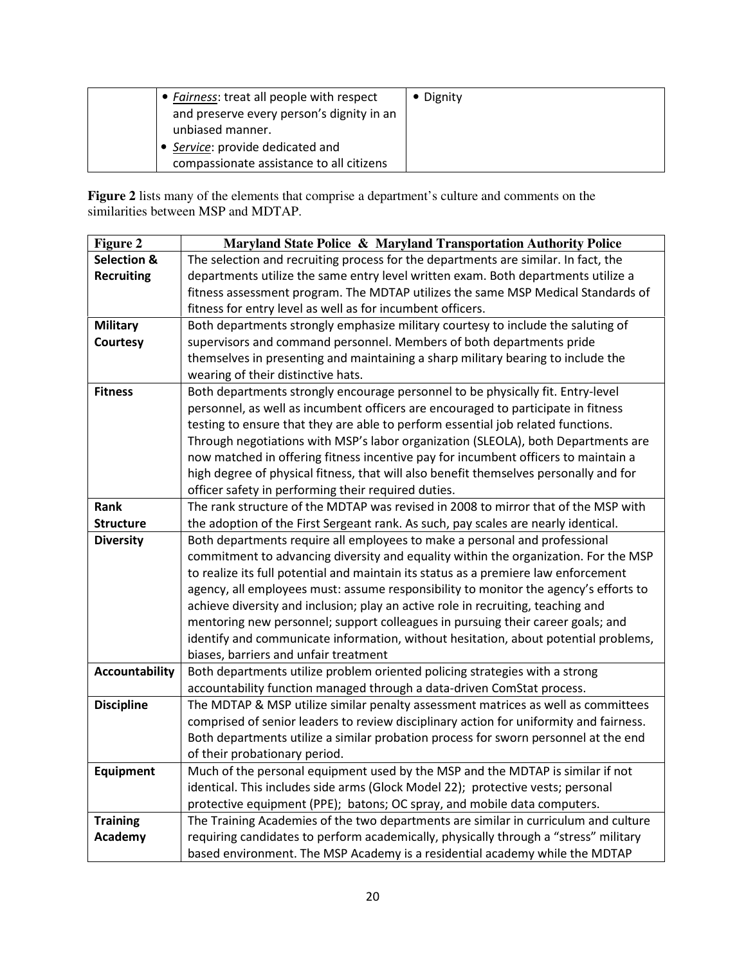| • Fairness: treat all people with respect<br>and preserve every person's dignity in an<br>unbiased manner. | • Dignity |
|------------------------------------------------------------------------------------------------------------|-----------|
| • Service: provide dedicated and                                                                           |           |
| compassionate assistance to all citizens                                                                   |           |

**Figure 2** lists many of the elements that comprise a department's culture and comments on the similarities between MSP and MDTAP.

| Figure 2               | Maryland State Police & Maryland Transportation Authority Police                       |
|------------------------|----------------------------------------------------------------------------------------|
| <b>Selection &amp;</b> | The selection and recruiting process for the departments are similar. In fact, the     |
| <b>Recruiting</b>      | departments utilize the same entry level written exam. Both departments utilize a      |
|                        | fitness assessment program. The MDTAP utilizes the same MSP Medical Standards of       |
|                        | fitness for entry level as well as for incumbent officers.                             |
| <b>Military</b>        | Both departments strongly emphasize military courtesy to include the saluting of       |
| Courtesy               | supervisors and command personnel. Members of both departments pride                   |
|                        | themselves in presenting and maintaining a sharp military bearing to include the       |
|                        | wearing of their distinctive hats.                                                     |
| <b>Fitness</b>         | Both departments strongly encourage personnel to be physically fit. Entry-level        |
|                        | personnel, as well as incumbent officers are encouraged to participate in fitness      |
|                        | testing to ensure that they are able to perform essential job related functions.       |
|                        | Through negotiations with MSP's labor organization (SLEOLA), both Departments are      |
|                        | now matched in offering fitness incentive pay for incumbent officers to maintain a     |
|                        | high degree of physical fitness, that will also benefit themselves personally and for  |
|                        | officer safety in performing their required duties.                                    |
| Rank                   | The rank structure of the MDTAP was revised in 2008 to mirror that of the MSP with     |
| <b>Structure</b>       | the adoption of the First Sergeant rank. As such, pay scales are nearly identical.     |
| <b>Diversity</b>       | Both departments require all employees to make a personal and professional             |
|                        | commitment to advancing diversity and equality within the organization. For the MSP    |
|                        | to realize its full potential and maintain its status as a premiere law enforcement    |
|                        | agency, all employees must: assume responsibility to monitor the agency's efforts to   |
|                        | achieve diversity and inclusion; play an active role in recruiting, teaching and       |
|                        | mentoring new personnel; support colleagues in pursuing their career goals; and        |
|                        | identify and communicate information, without hesitation, about potential problems,    |
|                        | biases, barriers and unfair treatment                                                  |
| <b>Accountability</b>  | Both departments utilize problem oriented policing strategies with a strong            |
|                        | accountability function managed through a data-driven ComStat process.                 |
| <b>Discipline</b>      | The MDTAP & MSP utilize similar penalty assessment matrices as well as committees      |
|                        | comprised of senior leaders to review disciplinary action for uniformity and fairness. |
|                        | Both departments utilize a similar probation process for sworn personnel at the end    |
|                        | of their probationary period.                                                          |
| <b>Equipment</b>       | Much of the personal equipment used by the MSP and the MDTAP is similar if not         |
|                        | identical. This includes side arms (Glock Model 22); protective vests; personal        |
|                        | protective equipment (PPE); batons; OC spray, and mobile data computers.               |
| <b>Training</b>        | The Training Academies of the two departments are similar in curriculum and culture    |
| Academy                | requiring candidates to perform academically, physically through a "stress" military   |
|                        | based environment. The MSP Academy is a residential academy while the MDTAP            |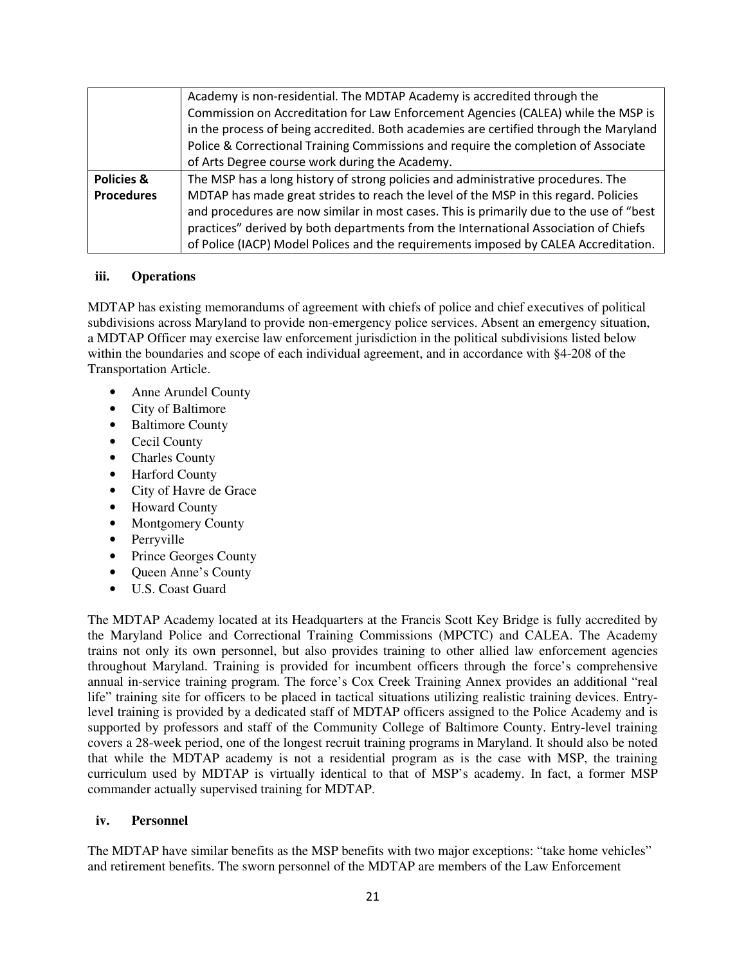|                       | Academy is non-residential. The MDTAP Academy is accredited through the                 |  |  |  |  |  |  |
|-----------------------|-----------------------------------------------------------------------------------------|--|--|--|--|--|--|
|                       | Commission on Accreditation for Law Enforcement Agencies (CALEA) while the MSP is       |  |  |  |  |  |  |
|                       | in the process of being accredited. Both academies are certified through the Maryland   |  |  |  |  |  |  |
|                       | Police & Correctional Training Commissions and require the completion of Associate      |  |  |  |  |  |  |
|                       | of Arts Degree course work during the Academy.                                          |  |  |  |  |  |  |
| <b>Policies &amp;</b> | The MSP has a long history of strong policies and administrative procedures. The        |  |  |  |  |  |  |
| <b>Procedures</b>     | MDTAP has made great strides to reach the level of the MSP in this regard. Policies     |  |  |  |  |  |  |
|                       | and procedures are now similar in most cases. This is primarily due to the use of "best |  |  |  |  |  |  |
|                       | practices" derived by both departments from the International Association of Chiefs     |  |  |  |  |  |  |
|                       | of Police (IACP) Model Polices and the requirements imposed by CALEA Accreditation.     |  |  |  |  |  |  |

#### **iii. Operations**

MDTAP has existing memorandums of agreement with chiefs of police and chief executives of political subdivisions across Maryland to provide non-emergency police services. Absent an emergency situation, a MDTAP Officer may exercise law enforcement jurisdiction in the political subdivisions listed below within the boundaries and scope of each individual agreement, and in accordance with §4-208 of the Transportation Article.

- Anne Arundel County
- City of Baltimore
- Baltimore County
- Cecil County
- Charles County
- Harford County
- City of Havre de Grace
- Howard County
- Montgomery County
- Perryville
- Prince Georges County
- Oueen Anne's County
- U.S. Coast Guard

The MDTAP Academy located at its Headquarters at the Francis Scott Key Bridge is fully accredited by the Maryland Police and Correctional Training Commissions (MPCTC) and CALEA. The Academy trains not only its own personnel, but also provides training to other allied law enforcement agencies throughout Maryland. Training is provided for incumbent officers through the force's comprehensive annual in-service training program. The force's Cox Creek Training Annex provides an additional "real life" training site for officers to be placed in tactical situations utilizing realistic training devices. Entrylevel training is provided by a dedicated staff of MDTAP officers assigned to the Police Academy and is supported by professors and staff of the Community College of Baltimore County. Entry-level training covers a 28-week period, one of the longest recruit training programs in Maryland. It should also be noted that while the MDTAP academy is not a residential program as is the case with MSP, the training curriculum used by MDTAP is virtually identical to that of MSP's academy. In fact, a former MSP commander actually supervised training for MDTAP.

#### **iv. Personnel**

The MDTAP have similar benefits as the MSP benefits with two major exceptions: "take home vehicles" and retirement benefits. The sworn personnel of the MDTAP are members of the Law Enforcement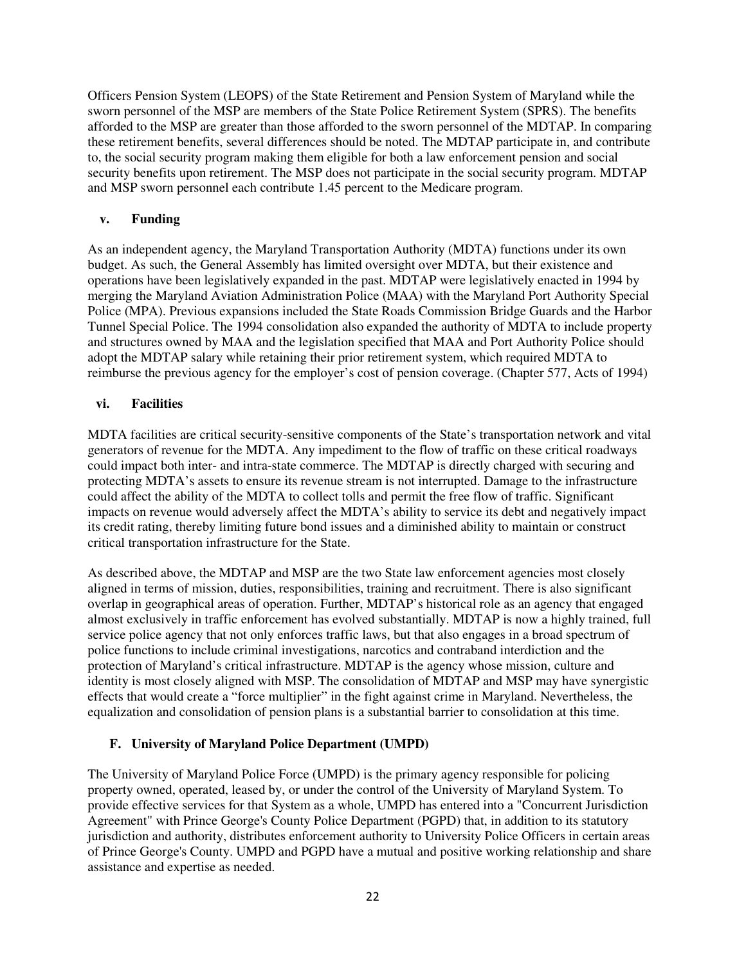Officers Pension System (LEOPS) of the State Retirement and Pension System of Maryland while the sworn personnel of the MSP are members of the State Police Retirement System (SPRS). The benefits afforded to the MSP are greater than those afforded to the sworn personnel of the MDTAP. In comparing these retirement benefits, several differences should be noted. The MDTAP participate in, and contribute to, the social security program making them eligible for both a law enforcement pension and social security benefits upon retirement. The MSP does not participate in the social security program. MDTAP and MSP sworn personnel each contribute 1.45 percent to the Medicare program.

### **v. Funding**

As an independent agency, the Maryland Transportation Authority (MDTA) functions under its own budget. As such, the General Assembly has limited oversight over MDTA, but their existence and operations have been legislatively expanded in the past. MDTAP were legislatively enacted in 1994 by merging the Maryland Aviation Administration Police (MAA) with the Maryland Port Authority Special Police (MPA). Previous expansions included the State Roads Commission Bridge Guards and the Harbor Tunnel Special Police. The 1994 consolidation also expanded the authority of MDTA to include property and structures owned by MAA and the legislation specified that MAA and Port Authority Police should adopt the MDTAP salary while retaining their prior retirement system, which required MDTA to reimburse the previous agency for the employer's cost of pension coverage. (Chapter 577, Acts of 1994)

#### **vi. Facilities**

MDTA facilities are critical security-sensitive components of the State's transportation network and vital generators of revenue for the MDTA. Any impediment to the flow of traffic on these critical roadways could impact both inter- and intra-state commerce. The MDTAP is directly charged with securing and protecting MDTA's assets to ensure its revenue stream is not interrupted. Damage to the infrastructure could affect the ability of the MDTA to collect tolls and permit the free flow of traffic. Significant impacts on revenue would adversely affect the MDTA's ability to service its debt and negatively impact its credit rating, thereby limiting future bond issues and a diminished ability to maintain or construct critical transportation infrastructure for the State.

As described above, the MDTAP and MSP are the two State law enforcement agencies most closely aligned in terms of mission, duties, responsibilities, training and recruitment. There is also significant overlap in geographical areas of operation. Further, MDTAP's historical role as an agency that engaged almost exclusively in traffic enforcement has evolved substantially. MDTAP is now a highly trained, full service police agency that not only enforces traffic laws, but that also engages in a broad spectrum of police functions to include criminal investigations, narcotics and contraband interdiction and the protection of Maryland's critical infrastructure. MDTAP is the agency whose mission, culture and identity is most closely aligned with MSP. The consolidation of MDTAP and MSP may have synergistic effects that would create a "force multiplier" in the fight against crime in Maryland. Nevertheless, the equalization and consolidation of pension plans is a substantial barrier to consolidation at this time.

## **F. University of Maryland Police Department (UMPD)**

The University of Maryland Police Force (UMPD) is the primary agency responsible for policing property owned, operated, leased by, or under the control of the University of Maryland System. To provide effective services for that System as a whole, UMPD has entered into a "Concurrent Jurisdiction Agreement" with Prince George's County Police Department (PGPD) that, in addition to its statutory jurisdiction and authority, distributes enforcement authority to University Police Officers in certain areas of Prince George's County. UMPD and PGPD have a mutual and positive working relationship and share assistance and expertise as needed.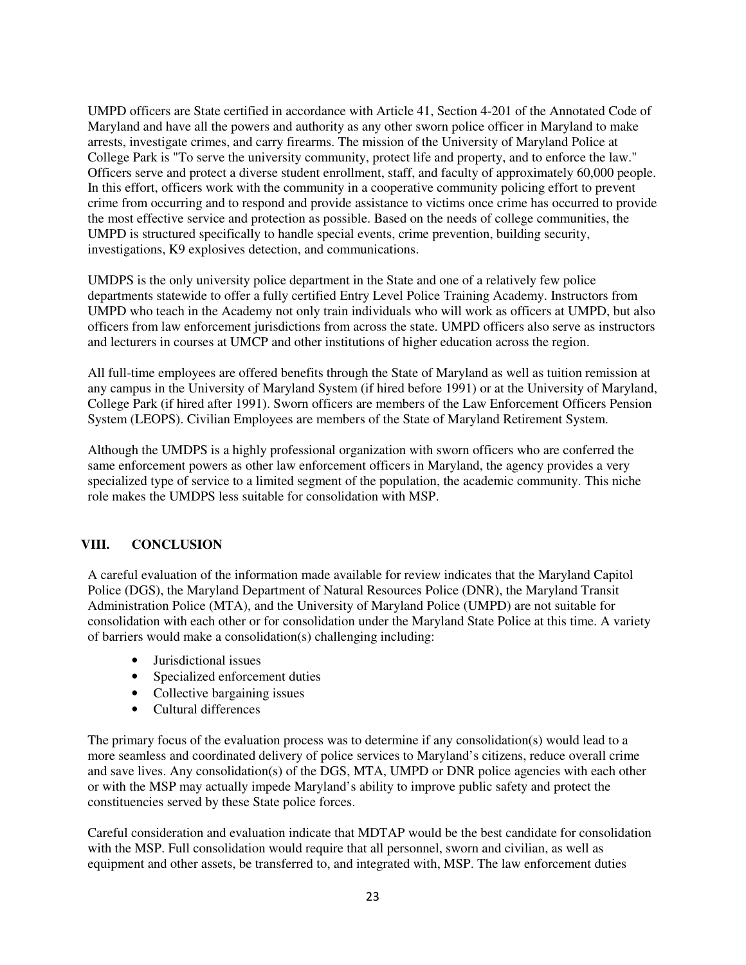UMPD officers are State certified in accordance with Article 41, Section 4-201 of the Annotated Code of Maryland and have all the powers and authority as any other sworn police officer in Maryland to make arrests, investigate crimes, and carry firearms. The mission of the University of Maryland Police at College Park is "To serve the university community, protect life and property, and to enforce the law." Officers serve and protect a diverse student enrollment, staff, and faculty of approximately 60,000 people. In this effort, officers work with the community in a cooperative community policing effort to prevent crime from occurring and to respond and provide assistance to victims once crime has occurred to provide the most effective service and protection as possible. Based on the needs of college communities, the UMPD is structured specifically to handle special events, crime prevention, building security, investigations, K9 explosives detection, and communications.

UMDPS is the only university police department in the State and one of a relatively few police departments statewide to offer a fully certified Entry Level Police Training Academy. Instructors from UMPD who teach in the Academy not only train individuals who will work as officers at UMPD, but also officers from law enforcement jurisdictions from across the state. UMPD officers also serve as instructors and lecturers in courses at UMCP and other institutions of higher education across the region.

All full-time employees are offered benefits through the State of Maryland as well as tuition remission at any campus in the University of Maryland System (if hired before 1991) or at the University of Maryland, College Park (if hired after 1991). Sworn officers are members of the Law Enforcement Officers Pension System (LEOPS). Civilian Employees are members of the State of Maryland Retirement System.

Although the UMDPS is a highly professional organization with sworn officers who are conferred the same enforcement powers as other law enforcement officers in Maryland, the agency provides a very specialized type of service to a limited segment of the population, the academic community. This niche role makes the UMDPS less suitable for consolidation with MSP.

## **VIII. CONCLUSION**

A careful evaluation of the information made available for review indicates that the Maryland Capitol Police (DGS), the Maryland Department of Natural Resources Police (DNR), the Maryland Transit Administration Police (MTA), and the University of Maryland Police (UMPD) are not suitable for consolidation with each other or for consolidation under the Maryland State Police at this time. A variety of barriers would make a consolidation(s) challenging including:

- Jurisdictional issues
- Specialized enforcement duties
- Collective bargaining issues
- Cultural differences

The primary focus of the evaluation process was to determine if any consolidation(s) would lead to a more seamless and coordinated delivery of police services to Maryland's citizens, reduce overall crime and save lives. Any consolidation(s) of the DGS, MTA, UMPD or DNR police agencies with each other or with the MSP may actually impede Maryland's ability to improve public safety and protect the constituencies served by these State police forces.

Careful consideration and evaluation indicate that MDTAP would be the best candidate for consolidation with the MSP. Full consolidation would require that all personnel, sworn and civilian, as well as equipment and other assets, be transferred to, and integrated with, MSP. The law enforcement duties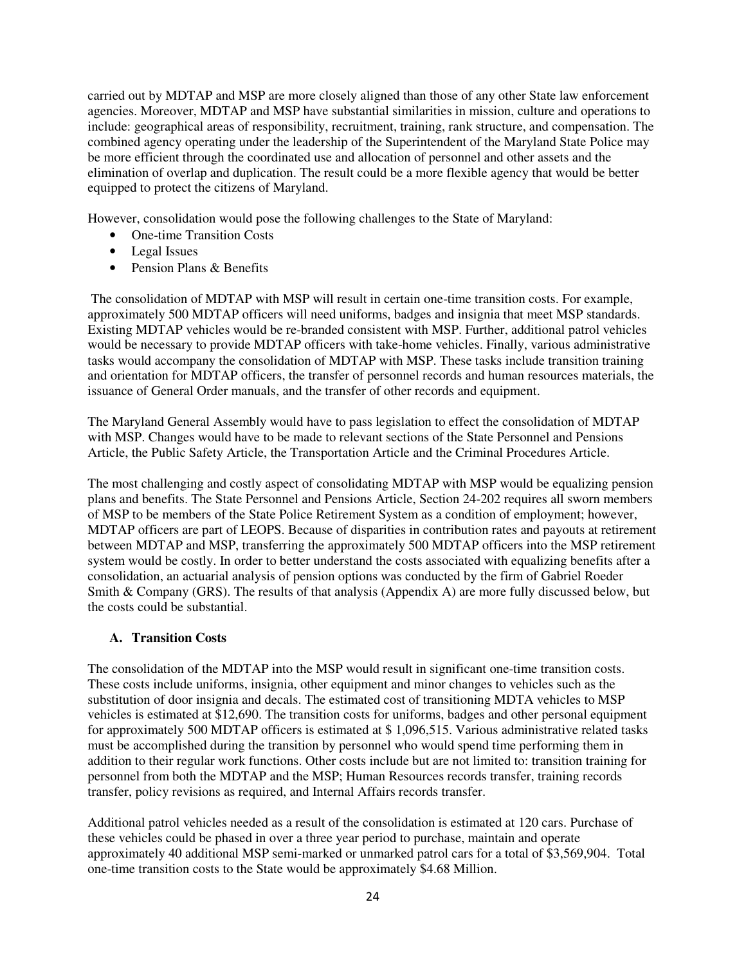carried out by MDTAP and MSP are more closely aligned than those of any other State law enforcement agencies. Moreover, MDTAP and MSP have substantial similarities in mission, culture and operations to include: geographical areas of responsibility, recruitment, training, rank structure, and compensation. The combined agency operating under the leadership of the Superintendent of the Maryland State Police may be more efficient through the coordinated use and allocation of personnel and other assets and the elimination of overlap and duplication. The result could be a more flexible agency that would be better equipped to protect the citizens of Maryland.

However, consolidation would pose the following challenges to the State of Maryland:

- One-time Transition Costs
- Legal Issues
- Pension Plans & Benefits

 The consolidation of MDTAP with MSP will result in certain one-time transition costs. For example, approximately 500 MDTAP officers will need uniforms, badges and insignia that meet MSP standards. Existing MDTAP vehicles would be re-branded consistent with MSP. Further, additional patrol vehicles would be necessary to provide MDTAP officers with take-home vehicles. Finally, various administrative tasks would accompany the consolidation of MDTAP with MSP. These tasks include transition training and orientation for MDTAP officers, the transfer of personnel records and human resources materials, the issuance of General Order manuals, and the transfer of other records and equipment.

The Maryland General Assembly would have to pass legislation to effect the consolidation of MDTAP with MSP. Changes would have to be made to relevant sections of the State Personnel and Pensions Article, the Public Safety Article, the Transportation Article and the Criminal Procedures Article.

The most challenging and costly aspect of consolidating MDTAP with MSP would be equalizing pension plans and benefits. The State Personnel and Pensions Article, Section 24-202 requires all sworn members of MSP to be members of the State Police Retirement System as a condition of employment; however, MDTAP officers are part of LEOPS. Because of disparities in contribution rates and payouts at retirement between MDTAP and MSP, transferring the approximately 500 MDTAP officers into the MSP retirement system would be costly. In order to better understand the costs associated with equalizing benefits after a consolidation, an actuarial analysis of pension options was conducted by the firm of Gabriel Roeder Smith & Company (GRS). The results of that analysis (Appendix A) are more fully discussed below, but the costs could be substantial.

#### **A. Transition Costs**

The consolidation of the MDTAP into the MSP would result in significant one-time transition costs. These costs include uniforms, insignia, other equipment and minor changes to vehicles such as the substitution of door insignia and decals. The estimated cost of transitioning MDTA vehicles to MSP vehicles is estimated at \$12,690. The transition costs for uniforms, badges and other personal equipment for approximately 500 MDTAP officers is estimated at \$ 1,096,515. Various administrative related tasks must be accomplished during the transition by personnel who would spend time performing them in addition to their regular work functions. Other costs include but are not limited to: transition training for personnel from both the MDTAP and the MSP; Human Resources records transfer, training records transfer, policy revisions as required, and Internal Affairs records transfer.

Additional patrol vehicles needed as a result of the consolidation is estimated at 120 cars. Purchase of these vehicles could be phased in over a three year period to purchase, maintain and operate approximately 40 additional MSP semi-marked or unmarked patrol cars for a total of \$3,569,904. Total one-time transition costs to the State would be approximately \$4.68 Million.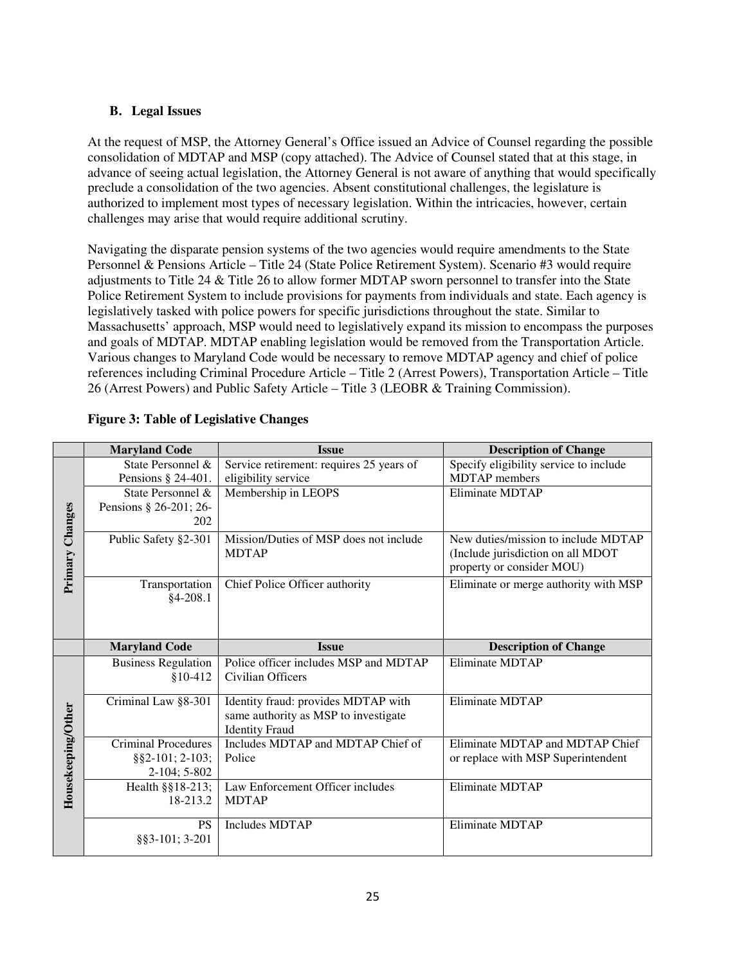## **B. Legal Issues**

At the request of MSP, the Attorney General's Office issued an Advice of Counsel regarding the possible consolidation of MDTAP and MSP (copy attached). The Advice of Counsel stated that at this stage, in advance of seeing actual legislation, the Attorney General is not aware of anything that would specifically preclude a consolidation of the two agencies. Absent constitutional challenges, the legislature is authorized to implement most types of necessary legislation. Within the intricacies, however, certain challenges may arise that would require additional scrutiny.

Navigating the disparate pension systems of the two agencies would require amendments to the State Personnel & Pensions Article – Title 24 (State Police Retirement System). Scenario #3 would require adjustments to Title 24 & Title 26 to allow former MDTAP sworn personnel to transfer into the State Police Retirement System to include provisions for payments from individuals and state. Each agency is legislatively tasked with police powers for specific jurisdictions throughout the state. Similar to Massachusetts' approach, MSP would need to legislatively expand its mission to encompass the purposes and goals of MDTAP. MDTAP enabling legislation would be removed from the Transportation Article. Various changes to Maryland Code would be necessary to remove MDTAP agency and chief of police references including Criminal Procedure Article – Title 2 (Arrest Powers), Transportation Article – Title 26 (Arrest Powers) and Public Safety Article – Title 3 (LEOBR & Training Commission).

|                    | <b>Maryland Code</b>       | <b>Issue</b>                                                  | <b>Description of Change</b>           |
|--------------------|----------------------------|---------------------------------------------------------------|----------------------------------------|
|                    | State Personnel &          | Service retirement: requires 25 years of                      | Specify eligibility service to include |
|                    | Pensions § 24-401.         | eligibility service                                           | <b>MDTAP</b> members                   |
|                    | State Personnel &          | Membership in LEOPS                                           | Eliminate MDTAP                        |
|                    | Pensions § 26-201; 26-     |                                                               |                                        |
|                    | 202                        |                                                               |                                        |
| Changes            | Public Safety §2-301       | Mission/Duties of MSP does not include                        | New duties/mission to include MDTAP    |
|                    |                            | <b>MDTAP</b>                                                  | (Include jurisdiction on all MDOT      |
|                    |                            |                                                               | property or consider MOU)              |
| Primary            | Transportation             | Chief Police Officer authority                                | Eliminate or merge authority with MSP  |
|                    | $§4 - 208.1$               |                                                               |                                        |
|                    |                            |                                                               |                                        |
|                    |                            |                                                               |                                        |
|                    | <b>Maryland Code</b>       | <b>Issue</b>                                                  | <b>Description of Change</b>           |
|                    | <b>Business Regulation</b> | Police officer includes MSP and MDTAP                         | Eliminate MDTAP                        |
|                    | $$10-412$                  | Civilian Officers                                             |                                        |
|                    |                            |                                                               | Eliminate MDTAP                        |
|                    | Criminal Law §8-301        | Identity fraud: provides MDTAP with                           |                                        |
|                    |                            | same authority as MSP to investigate<br><b>Identity Fraud</b> |                                        |
| Housekeeping/Other | <b>Criminal Procedures</b> | Includes MDTAP and MDTAP Chief of                             | Eliminate MDTAP and MDTAP Chief        |
|                    | $\S$ §2-101; 2-103;        | Police                                                        | or replace with MSP Superintendent     |
|                    | $2-104; 5-802$             |                                                               |                                        |
|                    | Health §§18-213;           | Law Enforcement Officer includes                              | Eliminate MDTAP                        |
|                    | 18-213.2                   | <b>MDTAP</b>                                                  |                                        |
|                    |                            |                                                               |                                        |
|                    | <b>PS</b>                  | <b>Includes MDTAP</b>                                         | Eliminate MDTAP                        |
|                    | §§3-101; 3-201             |                                                               |                                        |
|                    |                            |                                                               |                                        |

## **Figure 3: Table of Legislative Changes**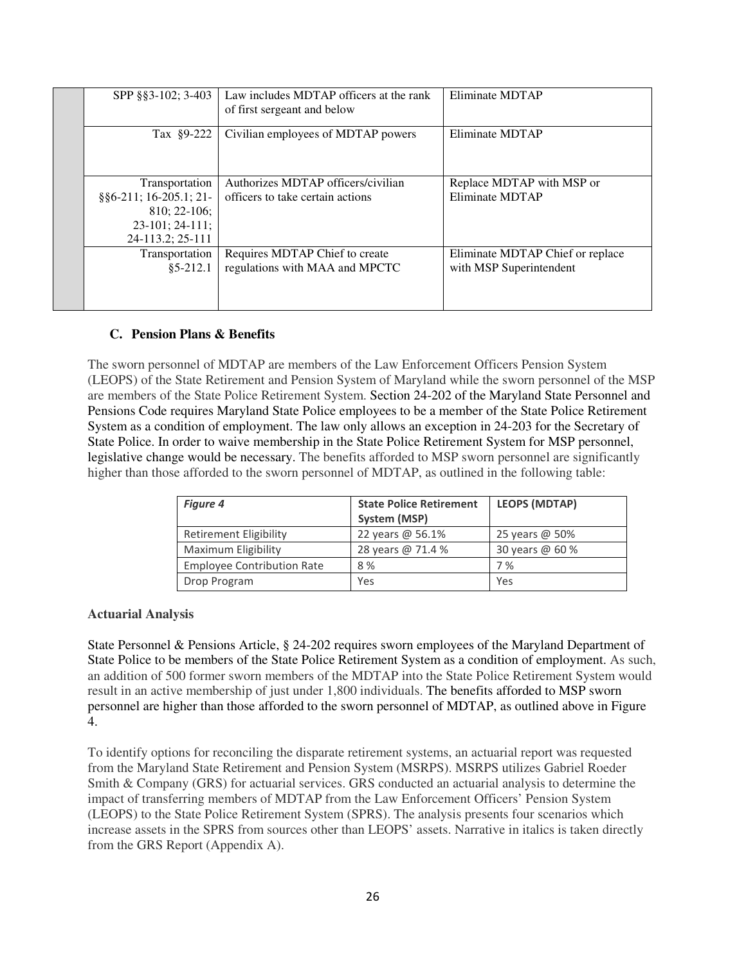|                       | SPP §§3-102; 3-403        | Law includes MDTAP officers at the rank | Eliminate MDTAP                  |
|-----------------------|---------------------------|-----------------------------------------|----------------------------------|
|                       |                           | of first sergeant and below             |                                  |
|                       |                           |                                         |                                  |
|                       | Tax §9-222                | Civilian employees of MDTAP powers      | Eliminate MDTAP                  |
|                       |                           |                                         |                                  |
|                       |                           |                                         |                                  |
|                       |                           |                                         |                                  |
|                       |                           |                                         |                                  |
|                       | Transportation            | Authorizes MDTAP officers/civilian      | Replace MDTAP with MSP or        |
|                       | $§$ §6-211; 16-205.1; 21- | officers to take certain actions        | Eliminate MDTAP                  |
|                       | $810; 22-106;$            |                                         |                                  |
| $23-101$ ; $24-111$ ; |                           |                                         |                                  |
|                       | 24-113.2; 25-111          |                                         |                                  |
|                       | Transportation            | Requires MDTAP Chief to create          | Eliminate MDTAP Chief or replace |
|                       | $§5-212.1$                | regulations with MAA and MPCTC          | with MSP Superintendent          |
|                       |                           |                                         |                                  |
|                       |                           |                                         |                                  |
|                       |                           |                                         |                                  |
|                       |                           |                                         |                                  |

#### **C. Pension Plans & Benefits**

The sworn personnel of MDTAP are members of the Law Enforcement Officers Pension System (LEOPS) of the State Retirement and Pension System of Maryland while the sworn personnel of the MSP are members of the State Police Retirement System. Section 24-202 of the Maryland State Personnel and Pensions Code requires Maryland State Police employees to be a member of the State Police Retirement System as a condition of employment. The law only allows an exception in 24-203 for the Secretary of State Police. In order to waive membership in the State Police Retirement System for MSP personnel, legislative change would be necessary. The benefits afforded to MSP sworn personnel are significantly higher than those afforded to the sworn personnel of MDTAP, as outlined in the following table:

| <b>Figure 4</b>                   | <b>State Police Retirement</b><br>System (MSP) | <b>LEOPS (MDTAP)</b> |
|-----------------------------------|------------------------------------------------|----------------------|
| <b>Retirement Eligibility</b>     | 22 years @ 56.1%                               | 25 years @ 50%       |
| Maximum Eligibility               | 28 years @ 71.4 %                              | 30 years @ 60 %      |
| <b>Employee Contribution Rate</b> | 8%                                             | 7%                   |
| Drop Program                      | Yes                                            | Yes                  |

#### **Actuarial Analysis**

State Personnel & Pensions Article, § 24-202 requires sworn employees of the Maryland Department of State Police to be members of the State Police Retirement System as a condition of employment. As such, an addition of 500 former sworn members of the MDTAP into the State Police Retirement System would result in an active membership of just under 1,800 individuals. The benefits afforded to MSP sworn personnel are higher than those afforded to the sworn personnel of MDTAP, as outlined above in Figure 4.

To identify options for reconciling the disparate retirement systems, an actuarial report was requested from the Maryland State Retirement and Pension System (MSRPS). MSRPS utilizes Gabriel Roeder Smith & Company (GRS) for actuarial services. GRS conducted an actuarial analysis to determine the impact of transferring members of MDTAP from the Law Enforcement Officers' Pension System (LEOPS) to the State Police Retirement System (SPRS). The analysis presents four scenarios which increase assets in the SPRS from sources other than LEOPS' assets. Narrative in italics is taken directly from the GRS Report (Appendix A).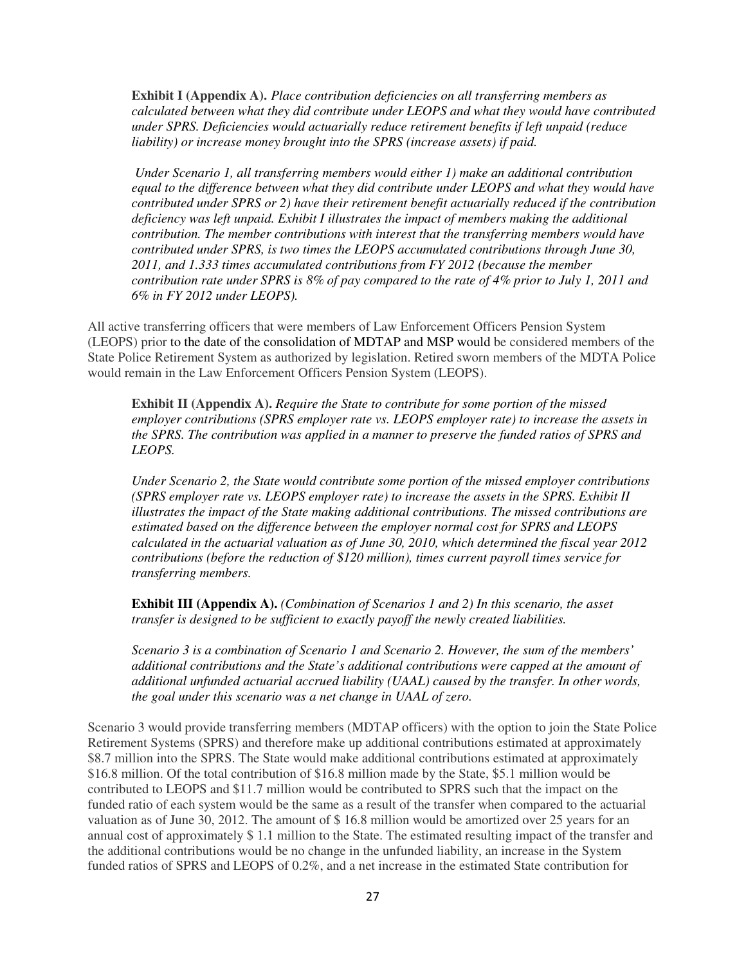**Exhibit I (Appendix A).** *Place contribution deficiencies on all transferring members as calculated between what they did contribute under LEOPS and what they would have contributed under SPRS. Deficiencies would actuarially reduce retirement benefits if left unpaid (reduce liability) or increase money brought into the SPRS (increase assets) if paid.* 

*Under Scenario 1, all transferring members would either 1) make an additional contribution equal to the difference between what they did contribute under LEOPS and what they would have contributed under SPRS or 2) have their retirement benefit actuarially reduced if the contribution deficiency was left unpaid. Exhibit I illustrates the impact of members making the additional contribution. The member contributions with interest that the transferring members would have contributed under SPRS, is two times the LEOPS accumulated contributions through June 30, 2011, and 1.333 times accumulated contributions from FY 2012 (because the member contribution rate under SPRS is 8% of pay compared to the rate of 4% prior to July 1, 2011 and 6% in FY 2012 under LEOPS).*

All active transferring officers that were members of Law Enforcement Officers Pension System (LEOPS) prior to the date of the consolidation of MDTAP and MSP would be considered members of the State Police Retirement System as authorized by legislation. Retired sworn members of the MDTA Police would remain in the Law Enforcement Officers Pension System (LEOPS).

**Exhibit II (Appendix A).** *Require the State to contribute for some portion of the missed employer contributions (SPRS employer rate vs. LEOPS employer rate) to increase the assets in the SPRS. The contribution was applied in a manner to preserve the funded ratios of SPRS and LEOPS.* 

*Under Scenario 2, the State would contribute some portion of the missed employer contributions (SPRS employer rate vs. LEOPS employer rate) to increase the assets in the SPRS. Exhibit II illustrates the impact of the State making additional contributions. The missed contributions are estimated based on the difference between the employer normal cost for SPRS and LEOPS calculated in the actuarial valuation as of June 30, 2010, which determined the fiscal year 2012 contributions (before the reduction of \$120 million), times current payroll times service for transferring members.* 

**Exhibit III (Appendix A).** *(Combination of Scenarios 1 and 2) In this scenario, the asset transfer is designed to be sufficient to exactly payoff the newly created liabilities.* 

*Scenario 3 is a combination of Scenario 1 and Scenario 2. However, the sum of the members' additional contributions and the State's additional contributions were capped at the amount of additional unfunded actuarial accrued liability (UAAL) caused by the transfer. In other words, the goal under this scenario was a net change in UAAL of zero.* 

Scenario 3 would provide transferring members (MDTAP officers) with the option to join the State Police Retirement Systems (SPRS) and therefore make up additional contributions estimated at approximately \$8.7 million into the SPRS. The State would make additional contributions estimated at approximately \$16.8 million. Of the total contribution of \$16.8 million made by the State, \$5.1 million would be contributed to LEOPS and \$11.7 million would be contributed to SPRS such that the impact on the funded ratio of each system would be the same as a result of the transfer when compared to the actuarial valuation as of June 30, 2012. The amount of \$ 16.8 million would be amortized over 25 years for an annual cost of approximately \$ 1.1 million to the State. The estimated resulting impact of the transfer and the additional contributions would be no change in the unfunded liability, an increase in the System funded ratios of SPRS and LEOPS of 0.2%, and a net increase in the estimated State contribution for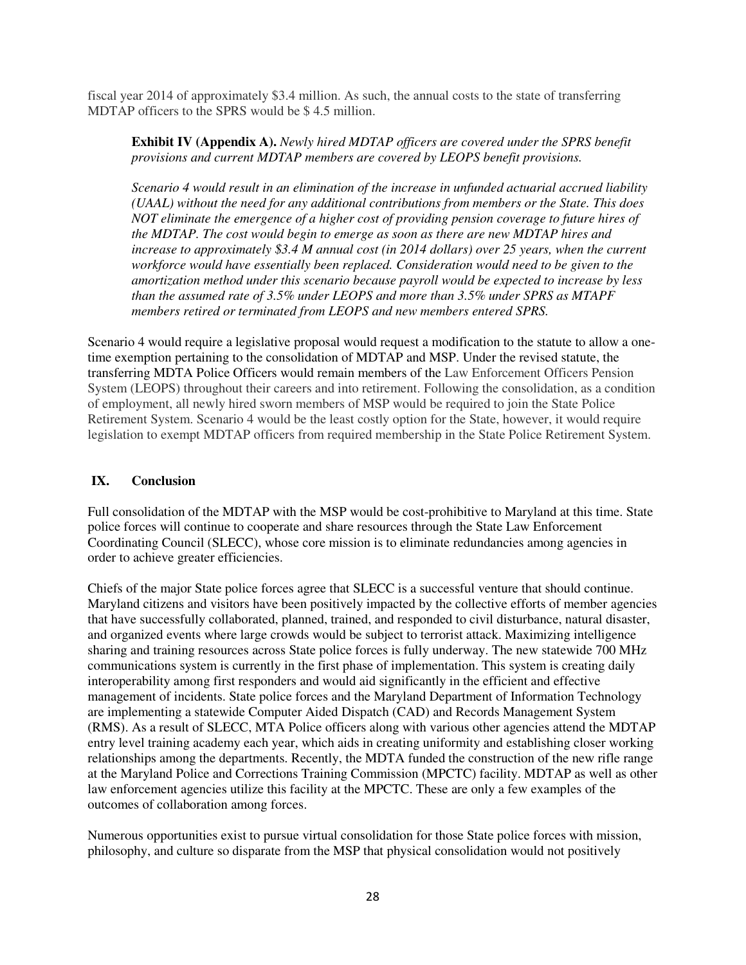fiscal year 2014 of approximately \$3.4 million. As such, the annual costs to the state of transferring MDTAP officers to the SPRS would be \$ 4.5 million.

**Exhibit IV (Appendix A).** *Newly hired MDTAP officers are covered under the SPRS benefit provisions and current MDTAP members are covered by LEOPS benefit provisions.*

*Scenario 4 would result in an elimination of the increase in unfunded actuarial accrued liability (UAAL) without the need for any additional contributions from members or the State. This does NOT eliminate the emergence of a higher cost of providing pension coverage to future hires of the MDTAP. The cost would begin to emerge as soon as there are new MDTAP hires and increase to approximately \$3.4 M annual cost (in 2014 dollars) over 25 years, when the current*  workforce would have essentially been replaced. Consideration would need to be given to the *amortization method under this scenario because payroll would be expected to increase by less than the assumed rate of 3.5% under LEOPS and more than 3.5% under SPRS as MTAPF members retired or terminated from LEOPS and new members entered SPRS.*

Scenario 4 would require a legislative proposal would request a modification to the statute to allow a onetime exemption pertaining to the consolidation of MDTAP and MSP. Under the revised statute, the transferring MDTA Police Officers would remain members of the Law Enforcement Officers Pension System (LEOPS) throughout their careers and into retirement. Following the consolidation, as a condition of employment, all newly hired sworn members of MSP would be required to join the State Police Retirement System. Scenario 4 would be the least costly option for the State, however, it would require legislation to exempt MDTAP officers from required membership in the State Police Retirement System.

#### **IX. Conclusion**

Full consolidation of the MDTAP with the MSP would be cost-prohibitive to Maryland at this time. State police forces will continue to cooperate and share resources through the State Law Enforcement Coordinating Council (SLECC), whose core mission is to eliminate redundancies among agencies in order to achieve greater efficiencies.

Chiefs of the major State police forces agree that SLECC is a successful venture that should continue. Maryland citizens and visitors have been positively impacted by the collective efforts of member agencies that have successfully collaborated, planned, trained, and responded to civil disturbance, natural disaster, and organized events where large crowds would be subject to terrorist attack. Maximizing intelligence sharing and training resources across State police forces is fully underway. The new statewide 700 MHz communications system is currently in the first phase of implementation. This system is creating daily interoperability among first responders and would aid significantly in the efficient and effective management of incidents. State police forces and the Maryland Department of Information Technology are implementing a statewide Computer Aided Dispatch (CAD) and Records Management System (RMS). As a result of SLECC, MTA Police officers along with various other agencies attend the MDTAP entry level training academy each year, which aids in creating uniformity and establishing closer working relationships among the departments. Recently, the MDTA funded the construction of the new rifle range at the Maryland Police and Corrections Training Commission (MPCTC) facility. MDTAP as well as other law enforcement agencies utilize this facility at the MPCTC. These are only a few examples of the outcomes of collaboration among forces.

Numerous opportunities exist to pursue virtual consolidation for those State police forces with mission, philosophy, and culture so disparate from the MSP that physical consolidation would not positively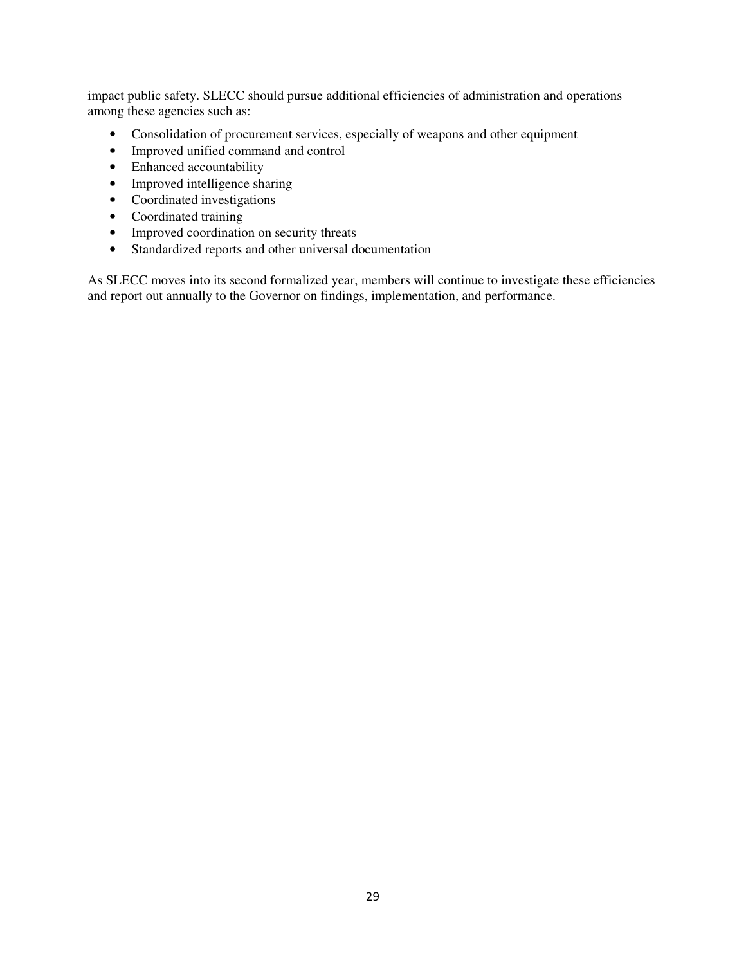impact public safety. SLECC should pursue additional efficiencies of administration and operations among these agencies such as:

- Consolidation of procurement services, especially of weapons and other equipment
- Improved unified command and control
- Enhanced accountability
- Improved intelligence sharing
- Coordinated investigations
- Coordinated training
- Improved coordination on security threats
- Standardized reports and other universal documentation

As SLECC moves into its second formalized year, members will continue to investigate these efficiencies and report out annually to the Governor on findings, implementation, and performance.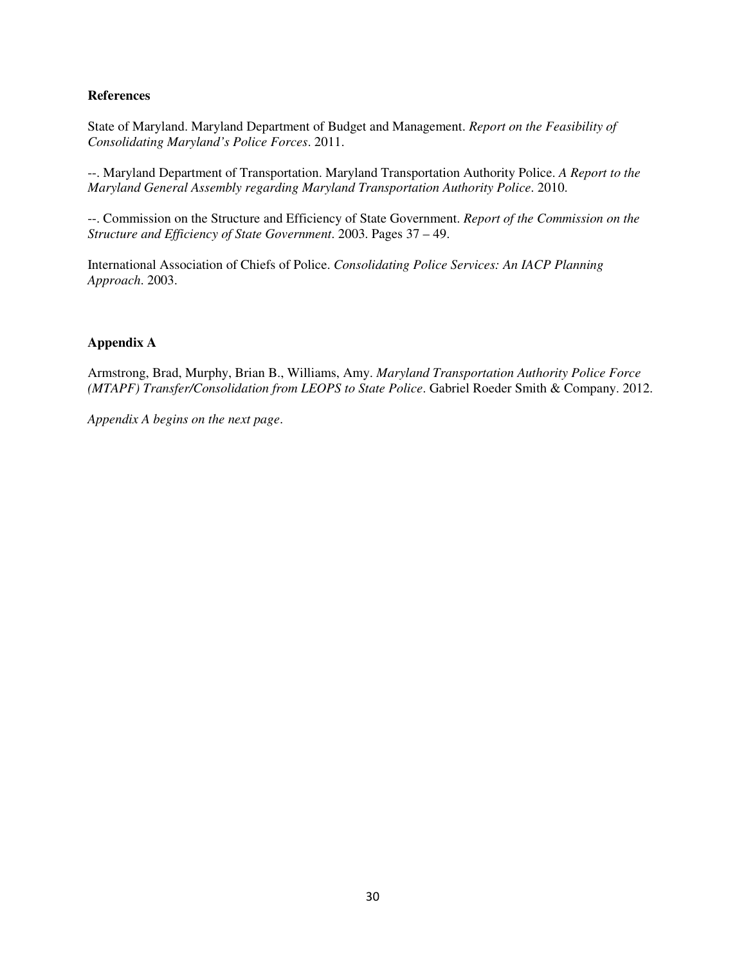#### **References**

State of Maryland. Maryland Department of Budget and Management. *Report on the Feasibility of Consolidating Maryland's Police Forces*. 2011.

--. Maryland Department of Transportation. Maryland Transportation Authority Police. *A Report to the Maryland General Assembly regarding Maryland Transportation Authority Police*. 2010.

--. Commission on the Structure and Efficiency of State Government. *Report of the Commission on the Structure and Efficiency of State Government*. 2003. Pages 37 – 49.

International Association of Chiefs of Police. *Consolidating Police Services: An IACP Planning Approach*. 2003.

#### **Appendix A**

Armstrong, Brad, Murphy, Brian B., Williams, Amy. *Maryland Transportation Authority Police Force (MTAPF) Transfer/Consolidation from LEOPS to State Police*. Gabriel Roeder Smith & Company. 2012.

*Appendix A begins on the next page*.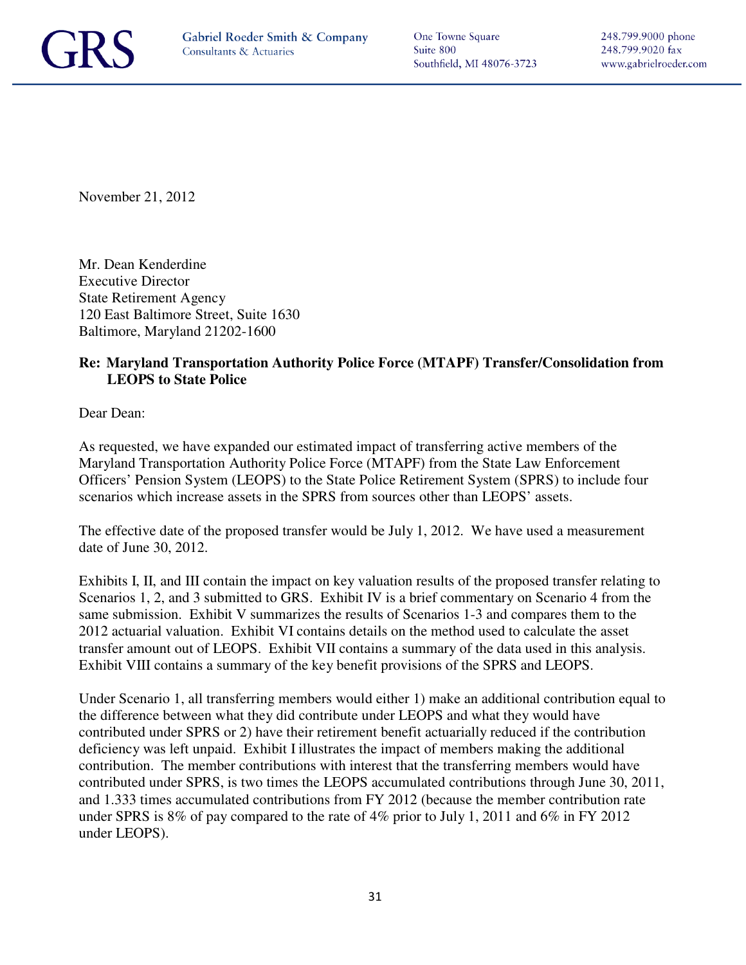

One Towne Square Suite 800 Southfield, MI 48076-3723

November 21, 2012

Mr. Dean Kenderdine Executive Director State Retirement Agency 120 East Baltimore Street, Suite 1630 Baltimore, Maryland 21202-1600

## **Re: Maryland Transportation Authority Police Force (MTAPF) Transfer/Consolidation from LEOPS to State Police**

Dear Dean:

As requested, we have expanded our estimated impact of transferring active members of the Maryland Transportation Authority Police Force (MTAPF) from the State Law Enforcement Officers' Pension System (LEOPS) to the State Police Retirement System (SPRS) to include four scenarios which increase assets in the SPRS from sources other than LEOPS' assets.

The effective date of the proposed transfer would be July 1, 2012. We have used a measurement date of June 30, 2012.

Exhibits I, II, and III contain the impact on key valuation results of the proposed transfer relating to Scenarios 1, 2, and 3 submitted to GRS. Exhibit IV is a brief commentary on Scenario 4 from the same submission. Exhibit V summarizes the results of Scenarios 1-3 and compares them to the 2012 actuarial valuation. Exhibit VI contains details on the method used to calculate the asset transfer amount out of LEOPS. Exhibit VII contains a summary of the data used in this analysis. Exhibit VIII contains a summary of the key benefit provisions of the SPRS and LEOPS.

Under Scenario 1, all transferring members would either 1) make an additional contribution equal to the difference between what they did contribute under LEOPS and what they would have contributed under SPRS or 2) have their retirement benefit actuarially reduced if the contribution deficiency was left unpaid. Exhibit I illustrates the impact of members making the additional contribution. The member contributions with interest that the transferring members would have contributed under SPRS, is two times the LEOPS accumulated contributions through June 30, 2011, and 1.333 times accumulated contributions from FY 2012 (because the member contribution rate under SPRS is 8% of pay compared to the rate of 4% prior to July 1, 2011 and 6% in FY 2012 under LEOPS).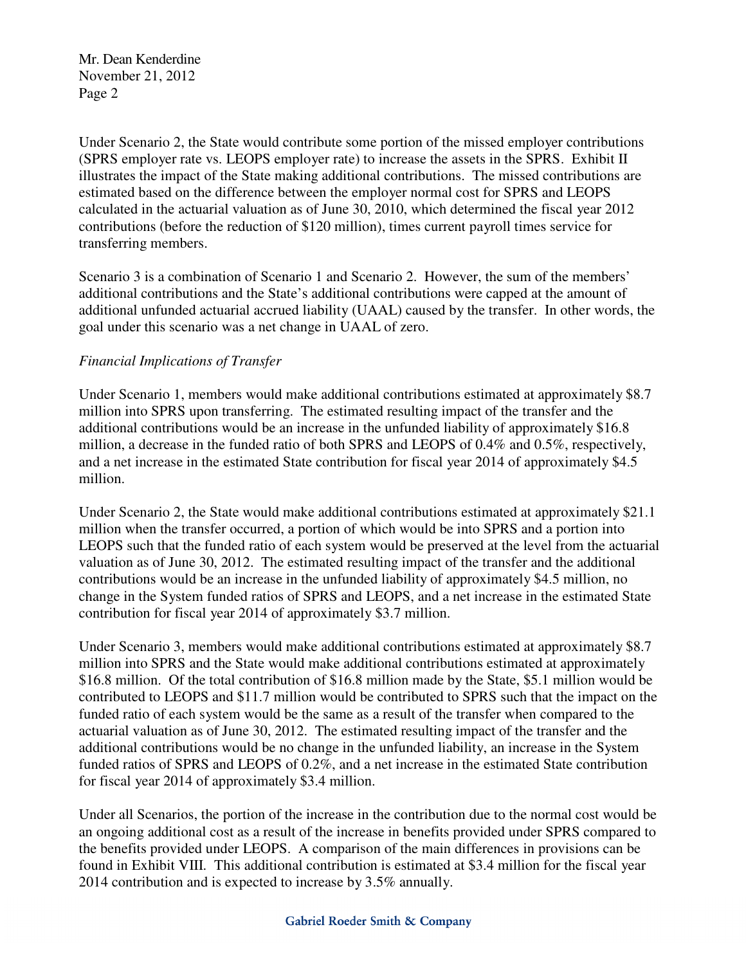Mr. Dean Kenderdine November 21, 2012 Page 2

Under Scenario 2, the State would contribute some portion of the missed employer contributions (SPRS employer rate vs. LEOPS employer rate) to increase the assets in the SPRS. Exhibit II illustrates the impact of the State making additional contributions. The missed contributions are estimated based on the difference between the employer normal cost for SPRS and LEOPS calculated in the actuarial valuation as of June 30, 2010, which determined the fiscal year 2012 contributions (before the reduction of \$120 million), times current payroll times service for transferring members.

Scenario 3 is a combination of Scenario 1 and Scenario 2. However, the sum of the members' additional contributions and the State's additional contributions were capped at the amount of additional unfunded actuarial accrued liability (UAAL) caused by the transfer. In other words, the goal under this scenario was a net change in UAAL of zero.

## *Financial Implications of Transfer*

Under Scenario 1, members would make additional contributions estimated at approximately \$8.7 million into SPRS upon transferring. The estimated resulting impact of the transfer and the additional contributions would be an increase in the unfunded liability of approximately \$16.8 million, a decrease in the funded ratio of both SPRS and LEOPS of 0.4% and 0.5%, respectively, and a net increase in the estimated State contribution for fiscal year 2014 of approximately \$4.5 million.

Under Scenario 2, the State would make additional contributions estimated at approximately \$21.1 million when the transfer occurred, a portion of which would be into SPRS and a portion into LEOPS such that the funded ratio of each system would be preserved at the level from the actuarial valuation as of June 30, 2012. The estimated resulting impact of the transfer and the additional contributions would be an increase in the unfunded liability of approximately \$4.5 million, no change in the System funded ratios of SPRS and LEOPS, and a net increase in the estimated State contribution for fiscal year 2014 of approximately \$3.7 million.

Under Scenario 3, members would make additional contributions estimated at approximately \$8.7 million into SPRS and the State would make additional contributions estimated at approximately \$16.8 million. Of the total contribution of \$16.8 million made by the State, \$5.1 million would be contributed to LEOPS and \$11.7 million would be contributed to SPRS such that the impact on the funded ratio of each system would be the same as a result of the transfer when compared to the actuarial valuation as of June 30, 2012. The estimated resulting impact of the transfer and the additional contributions would be no change in the unfunded liability, an increase in the System funded ratios of SPRS and LEOPS of 0.2%, and a net increase in the estimated State contribution for fiscal year 2014 of approximately \$3.4 million.

Under all Scenarios, the portion of the increase in the contribution due to the normal cost would be an ongoing additional cost as a result of the increase in benefits provided under SPRS compared to the benefits provided under LEOPS. A comparison of the main differences in provisions can be found in Exhibit VIII. This additional contribution is estimated at \$3.4 million for the fiscal year 2014 contribution and is expected to increase by 3.5% annually.

#### **Gabriel Roeder Smith & Company**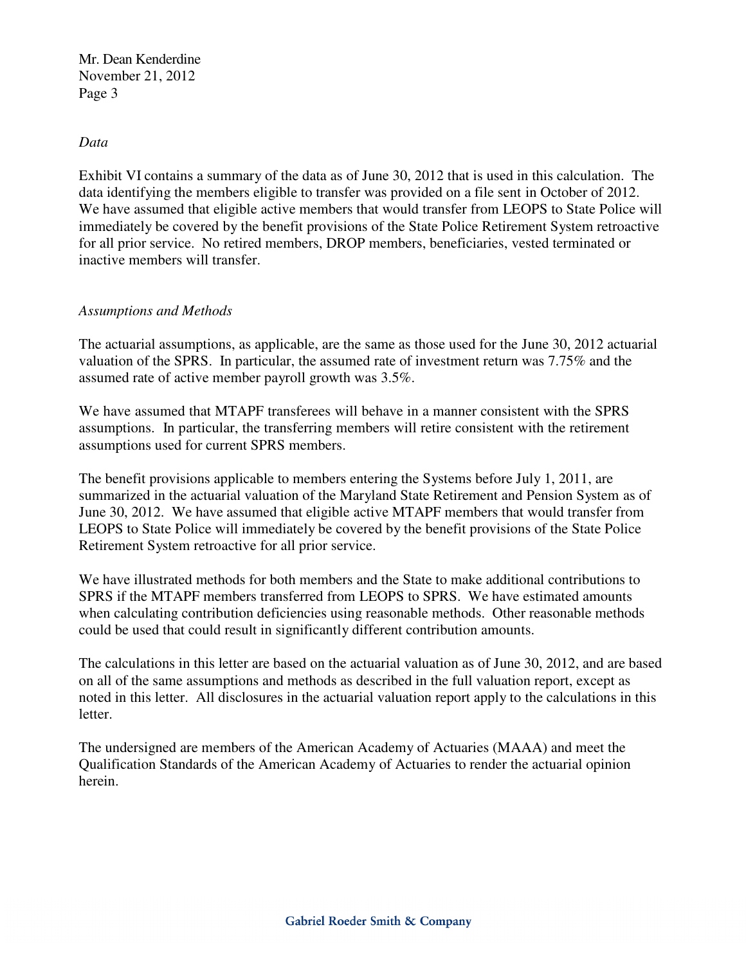Mr. Dean Kenderdine November 21, 2012 Page 3

#### *Data*

Exhibit VI contains a summary of the data as of June 30, 2012 that is used in this calculation. The data identifying the members eligible to transfer was provided on a file sent in October of 2012. We have assumed that eligible active members that would transfer from LEOPS to State Police will immediately be covered by the benefit provisions of the State Police Retirement System retroactive for all prior service. No retired members, DROP members, beneficiaries, vested terminated or inactive members will transfer.

#### *Assumptions and Methods*

The actuarial assumptions, as applicable, are the same as those used for the June 30, 2012 actuarial valuation of the SPRS. In particular, the assumed rate of investment return was 7.75% and the assumed rate of active member payroll growth was 3.5%.

We have assumed that MTAPF transferees will behave in a manner consistent with the SPRS assumptions. In particular, the transferring members will retire consistent with the retirement assumptions used for current SPRS members.

The benefit provisions applicable to members entering the Systems before July 1, 2011, are summarized in the actuarial valuation of the Maryland State Retirement and Pension System as of June 30, 2012. We have assumed that eligible active MTAPF members that would transfer from LEOPS to State Police will immediately be covered by the benefit provisions of the State Police Retirement System retroactive for all prior service.

We have illustrated methods for both members and the State to make additional contributions to SPRS if the MTAPF members transferred from LEOPS to SPRS. We have estimated amounts when calculating contribution deficiencies using reasonable methods. Other reasonable methods could be used that could result in significantly different contribution amounts.

The calculations in this letter are based on the actuarial valuation as of June 30, 2012, and are based on all of the same assumptions and methods as described in the full valuation report, except as noted in this letter. All disclosures in the actuarial valuation report apply to the calculations in this letter.

The undersigned are members of the American Academy of Actuaries (MAAA) and meet the Qualification Standards of the American Academy of Actuaries to render the actuarial opinion herein.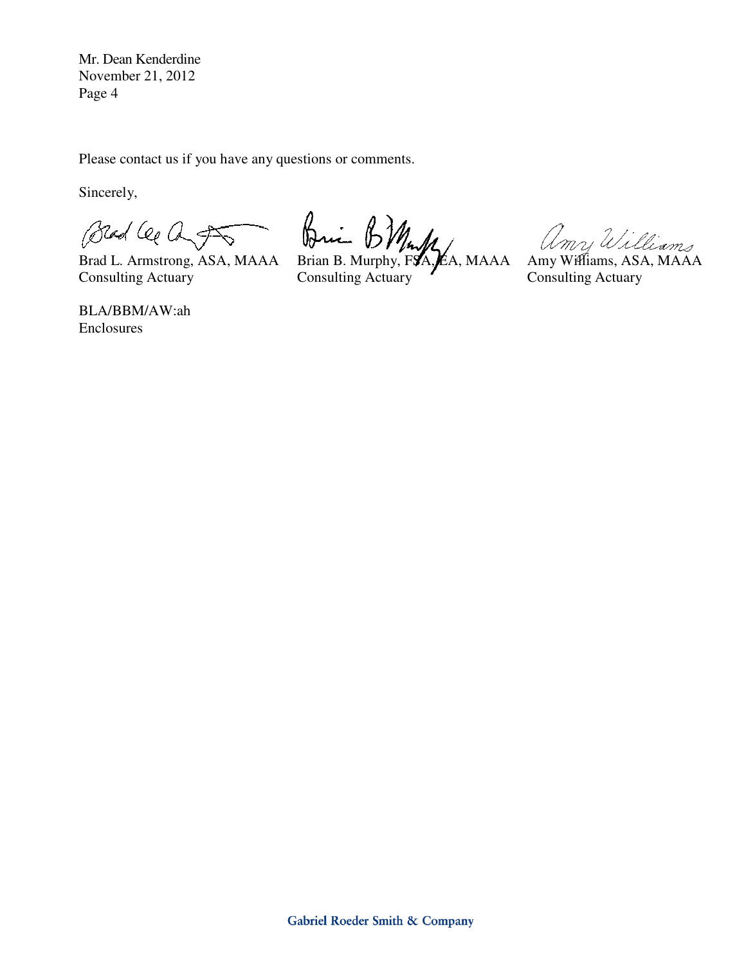Mr. Dean Kenderdine November 21, 2012 Page 4

Please contact us if you have any questions or comments.

Sincerely,

Blad Cee a 75

Blad Le Q 5 Brie B Mung University Consulting Actuary Brad L. Armstrong, ASA, MAAA Brian B. Murphy, FSA, EA, MAAA Amy Williams, ASA, MAAA Consulting Actuary

amy Williams

Consulting Actuary

BLA/BBM/AW:ah Enclosures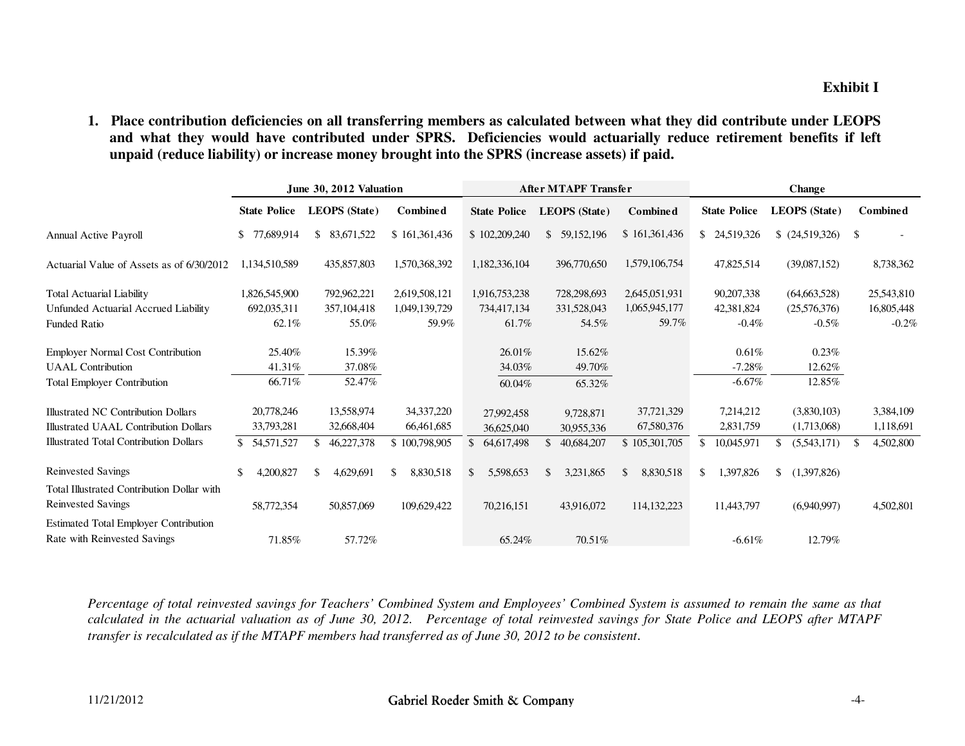**1. Place contribution deficiencies on all transferring members as calculated between what they did contribute under LEOPS** and what they would have contributed under SPRS. Deficiencies would actuarially reduce retirement benefits if left **unpaid (reduce liability) or increase money brought into the SPRS (increase assets) if paid.**

|                                                                              | June 30, 2012 Valuation |                      |                 | <b>After MTAPF Transfer</b> |                              |                  | Change              |                      |                            |
|------------------------------------------------------------------------------|-------------------------|----------------------|-----------------|-----------------------------|------------------------------|------------------|---------------------|----------------------|----------------------------|
|                                                                              | <b>State Police</b>     | <b>LEOPS</b> (State) | <b>Combined</b> | <b>State Police</b>         | <b>LEOPS</b> (State)         | <b>Combined</b>  | <b>State Police</b> | <b>LEOPS</b> (State) | <b>Combined</b>            |
| Annual Active Payroll                                                        | \$ 77,689,914           | 83,671,522<br>\$     | \$161,361,436   | \$102,209,240               | 59,152,196<br>$\mathbb{S}^-$ | \$161,361,436    | \$ 24,519,326       | (24,519,326)         | \$                         |
| Actuarial Value of Assets as of 6/30/2012                                    | 1,134,510,589           | 435,857,803          | 1,570,368,392   | 1,182,336,104               | 396,770,650                  | 1,579,106,754    | 47,825,514          | (39,087,152)         | 8,738,362                  |
| <b>Total Actuarial Liability</b>                                             | 1,826,545,900           | 792,962,221          | 2,619,508,121   | 1,916,753,238               | 728,298,693                  | 2,645,051,931    | 90, 207, 338        | (64, 663, 528)       | 25,543,810                 |
| Unfunded Actuarial Accrued Liability                                         | 692,035,311             | 357, 104, 418        | 1,049,139,729   | 734,417,134                 | 331,528,043                  | 1,065,945,177    | 42,381,824          | (25,576,376)         | 16,805,448                 |
| <b>Funded Ratio</b>                                                          | 62.1%                   | 55.0%                | 59.9%           | 61.7%                       | 54.5%                        | 59.7%            | $-0.4\%$            | $-0.5\%$             | $-0.2%$                    |
| <b>Employer Normal Cost Contribution</b>                                     | 25.40%                  | 15.39%               |                 | 26.01%                      | 15.62%                       |                  | 0.61%               | 0.23%                |                            |
| <b>UAAL</b> Contribution                                                     | 41.31%                  | 37.08%               |                 | 34.03%                      | 49.70%                       |                  | $-7.28%$            | 12.62%               |                            |
| <b>Total Employer Contribution</b>                                           | 66.71%                  | 52.47%               |                 | 60.04%                      | 65.32%                       |                  | $-6.67%$            | 12.85%               |                            |
| <b>Illustrated NC Contribution Dollars</b>                                   | 20,778,246              | 13,558,974           | 34,337,220      | 27,992,458                  | 9,728,871                    | 37,721,329       | 7,214,212           | (3,830,103)          | 3,384,109                  |
| <b>Illustrated UAAL Contribution Dollars</b>                                 | 33,793,281              | 32,668,404           | 66,461,685      | 36,625,040                  | 30,955,336                   | 67,580,376       | 2,831,759           | (1,713,068)          | 1,118,691                  |
| <b>Illustrated Total Contribution Dollars</b>                                | \$ 54,571,527           | \$<br>46,227,378     | \$100,798,905   | 64,617,498<br>$\mathcal{S}$ | 40,684,207                   | \$105,301,705    | 10,045,971<br>\$    | (5,543,171)          | 4,502,800<br><sup>\$</sup> |
| <b>Reinvested Savings</b>                                                    | 4,200,827<br>-S         | \$<br>4,629,691      | 8,830,518       | 5,598,653<br>\$             | 3,231,865<br>\$              | 8,830,518<br>\$. | 1,397,826<br>S      | (1,397,826)<br>S     |                            |
| Total Illustrated Contribution Dollar with<br><b>Reinvested Savings</b>      | 58,772,354              | 50,857,069           | 109,629,422     | 70,216,151                  | 43,916,072                   | 114,132,223      | 11,443,797          | (6,940,997)          | 4,502,801                  |
| <b>Estimated Total Employer Contribution</b><br>Rate with Reinvested Savings | 71.85%                  | 57.72%               |                 | 65.24%                      | 70.51%                       |                  | $-6.61%$            | 12.79%               |                            |
|                                                                              |                         |                      |                 |                             |                              |                  |                     |                      |                            |

*Percentage of total reinvested savings for Teachers' Combined System and Employees' Combined System is assumed to remain the same as that calculated in the actuarial valuation as of June 30, 2012. Percentage of total reinvested savings for State Police and LEOPS after MTAPF transfer is recalculated as if the MTAPF members had transferred as of June 30, 2012 to be consistent*.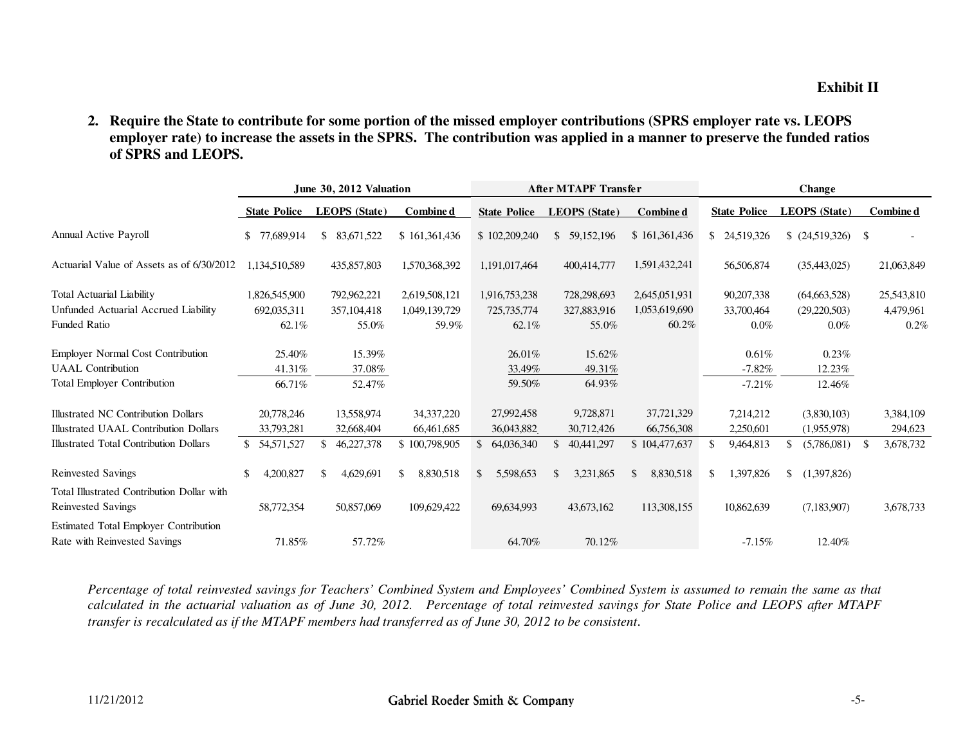**2. Require the State to contribute for some portion of the missed employer contributions (SPRS employer rate vs. LEOPS employer rate) to increase the assets in the SPRS. The contribution was applied in a manner to preserve the funded ratios of SPRS and LEOPS.**

|                                               |                     | June 30, 2012 Valuation      |                 |                     | <b>After MTAPF Transfer</b> |                 | Change              |                      |                 |  |  |  |
|-----------------------------------------------|---------------------|------------------------------|-----------------|---------------------|-----------------------------|-----------------|---------------------|----------------------|-----------------|--|--|--|
|                                               | <b>State Police</b> | <b>LEOPS</b> (State)         | Combine d       | <b>State Police</b> | <b>LEOPS</b> (State)        | <b>Combined</b> | <b>State Police</b> | <b>LEOPS</b> (State) | Combine d       |  |  |  |
| Annual Active Payroll                         | 77,689,914<br>S.    | $\mathbb{S}^-$<br>83,671,522 | \$161,361,436   | \$102,209,240       | \$59,152,196                | \$161,361,436   | \$ 24,519,326       | (24,519,326)         | -S              |  |  |  |
| Actuarial Value of Assets as of 6/30/2012     | 1,134,510,589       | 435,857,803                  | 1,570,368,392   | 1,191,017,464       | 400,414,777                 | 1,591,432,241   | 56,506,874          | (35,443,025)         | 21,063,849      |  |  |  |
| <b>Total Actuarial Liability</b>              | 1,826,545,900       | 792,962,221                  | 2,619,508,121   | 1,916,753,238       | 728,298,693                 | 2,645,051,931   | 90,207,338          | (64, 663, 528)       | 25,543,810      |  |  |  |
| Unfunded Actuarial Accrued Liability          | 692,035,311         | 357,104,418                  | 1,049,139,729   | 725,735,774         | 327,883,916                 | 1,053,619,690   | 33,700,464          | (29,220,503)         | 4,479,961       |  |  |  |
| <b>Funded Ratio</b>                           | 62.1%               | 55.0%                        | 59.9%           | 62.1%               | 55.0%                       | 60.2%           | $0.0\%$             | 0.0%                 | $0.2\%$         |  |  |  |
| Employer Normal Cost Contribution             | 25.40%              | 15.39%                       |                 | 26.01%              | 15.62%                      |                 | 0.61%               | 0.23%                |                 |  |  |  |
| <b>UAAL</b> Contribution                      | 41.31%              | 37.08%                       |                 | 33.49%              | 49.31%                      |                 | $-7.82%$            | 12.23%               |                 |  |  |  |
| <b>Total Employer Contribution</b>            | 66.71%              | 52.47%                       |                 | 59.50%              | 64.93%                      |                 | $-7.21%$            | 12.46%               |                 |  |  |  |
| Illustrated NC Contribution Dollars           | 20,778,246          | 13,558,974                   | 34, 337, 220    | 27,992,458          | 9,728,871                   | 37,721,329      | 7,214,212           | (3,830,103)          | 3,384,109       |  |  |  |
| Illustrated UAAL Contribution Dollars         | 33,793,281          | 32,668,404                   | 66,461,685      | 36,043,882          | 30,712,426                  | 66,756,308      | 2,250,601           | (1,955,978)          | 294,623         |  |  |  |
| <b>Illustrated Total Contribution Dollars</b> | \$ 54,571,527       | 46,227,378<br>\$             | \$100,798,905   | 64,036,340<br>\$.   | 40,441,297                  | \$104,477,637   | 9,464,813<br>\$.    | (5,786,081)          | 3,678,732<br>\$ |  |  |  |
| <b>Reinvested Savings</b>                     | 4,200,827<br>S      | 4,629,691<br>\$              | 8,830,518<br>\$ | 5,598,653<br>\$.    | 3,231,865<br>\$.            | \$<br>8,830,518 | 1,397,826<br>\$     | (1,397,826)<br>S.    |                 |  |  |  |
| Total Illustrated Contribution Dollar with    |                     |                              |                 |                     |                             |                 |                     |                      |                 |  |  |  |
| <b>Reinvested Savings</b>                     | 58,772,354          | 50,857,069                   | 109,629,422     | 69,634,993          | 43,673,162                  | 113,308,155     | 10,862,639          | (7,183,907)          | 3,678,733       |  |  |  |
| <b>Estimated Total Employer Contribution</b>  |                     |                              |                 |                     |                             |                 |                     |                      |                 |  |  |  |
| Rate with Reinvested Savings                  | 71.85%              | 57.72%                       |                 | 64.70%              | 70.12%                      |                 | $-7.15%$            | 12.40%               |                 |  |  |  |

*Percentage of total reinvested savings for Teachers' Combined System and Employees' Combined System is assumed to remain the same as that calculated in the actuarial valuation as of June 30, 2012. Percentage of total reinvested savings for State Police and LEOPS after MTAPF transfer is recalculated as if the MTAPF members had transferred as of June 30, 2012 to be consistent*.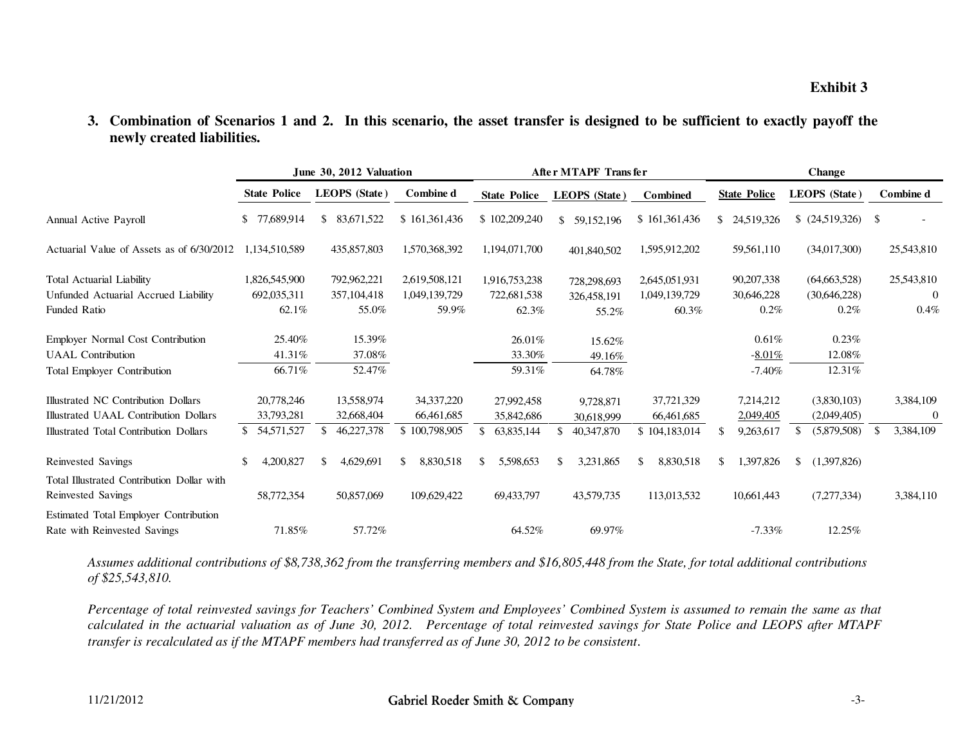## **3. Combination of Scenarios 1 and 2. In this scenario, the asset transfer is designed to be sufficient to exactly payoff the newly created liabilities.**

|                                                                       |                     | June 30, 2012 Valuation |                  |                     | After MTAPF Transfer |                 | Change              |                    |                            |  |  |
|-----------------------------------------------------------------------|---------------------|-------------------------|------------------|---------------------|----------------------|-----------------|---------------------|--------------------|----------------------------|--|--|
|                                                                       | <b>State Police</b> | LEOPS (State)           | <b>Combine d</b> | <b>State Police</b> | LEOPS (State)        | <b>Combined</b> | <b>State Police</b> | LEOPS (State)      | Combine d                  |  |  |
| Annual Active Payroll                                                 | 77,689,914          | 83,671,522<br>\$        | \$161,361,436    | \$102,209,240       | \$<br>59,152,196     | \$161,361,436   | 24,519,326<br>\$    | (24,519,326)       | <sup>\$</sup>              |  |  |
| Actuarial Value of Assets as of 6/30/2012                             | 1.134.510.589       | 435,857,803             | 1,570,368,392    | 1,194,071,700       | 401,840,502          | 1,595,912,202   | 59,561,110          | (34,017,300)       | 25,543,810                 |  |  |
| Total Actuarial Liability                                             | 1,826,545,900       | 792,962,221             | 2,619,508,121    | 1,916,753,238       | 728,298,693          | 2,645,051,931   | 90, 207, 338        | (64, 663, 528)     | 25,543,810                 |  |  |
| Unfunded Actuarial Accrued Liability                                  | 692,035,311         | 357, 104, 418           | 1,049,139,729    | 722,681,538         | 326,458,191          | 1,049,139,729   | 30,646,228          | (30,646,228)       | $\overline{0}$             |  |  |
| Funded Ratio                                                          | 62.1%               | 55.0%                   | 59.9%            | 62.3%               | 55.2%                | 60.3%           | 0.2%                | 0.2%               | 0.4%                       |  |  |
| <b>Employer Normal Cost Contribution</b>                              | 25.40%              | 15.39%                  |                  | 26.01%              | 15.62%               |                 | 0.61%               | 0.23%              |                            |  |  |
| <b>UAAL</b> Contribution                                              | 41.31%              | 37.08%                  |                  | 33.30%              | 49.16%               |                 | $-8.01%$            | 12.08%             |                            |  |  |
| <b>Total Employer Contribution</b>                                    | 66.71%              | 52.47%                  |                  | 59.31%              | 64.78%               |                 | $-7.40%$            | 12.31%             |                            |  |  |
| Illustrated NC Contribution Dollars                                   | 20,778,246          | 13,558,974              | 34,337,220       | 27,992,458          | 9,728,871            | 37,721,329      | 7,214,212           | (3,830,103)        | 3,384,109                  |  |  |
| Illustrated UAAL Contribution Dollars                                 | 33,793,281          | 32,668,404              | 66,461,685       | 35,842,686          | 30,618,999           | 66,461,685      | 2,049,405           | (2,049,405)        | $\overline{0}$             |  |  |
| <b>Illustrated Total Contribution Dollars</b>                         | \$ 54,571,527       | \$<br>46,227,378        | \$100,798,905    | 63,835,144          | 40,347,870           | \$104,183,014   | 9,263,617           | (5,879,508)        | 3,384,109<br><sup>\$</sup> |  |  |
| Reinvested Savings                                                    | 4,200,827<br>\$.    | 4,629,691<br>\$.        | 8,830,518        | 5,598,653           | 3,231,865            | 8,830,518       | 1,397,826<br>\$     | (1,397,826)<br>\$. |                            |  |  |
| Total Illustrated Contribution Dollar with<br>Reinvested Savings      | 58,772,354          | 50,857,069              | 109,629,422      | 69,433,797          | 43,579,735           | 113,013,532     | 10,661,443          | (7,277,334)        | 3,384,110                  |  |  |
| Estimated Total Employer Contribution<br>Rate with Reinvested Savings | 71.85%              | 57.72%                  |                  | 64.52%              | 69.97%               |                 | $-7.33%$            | 12.25%             |                            |  |  |

*Assumes additional contributions of \$8,738,362 from the transferring members and \$16,805,448 from the State, for total additional contributions of \$25,543,810.*

*Percentage of total reinvested savings for Teachers' Combined System and Employees' Combined System is assumed to remain the same as that calculated in the actuarial valuation as of June 30, 2012. Percentage of total reinvested savings for State Police and LEOPS after MTAPF transfer is recalculated as if the MTAPF members had transferred as of June 30, 2012 to be consistent*.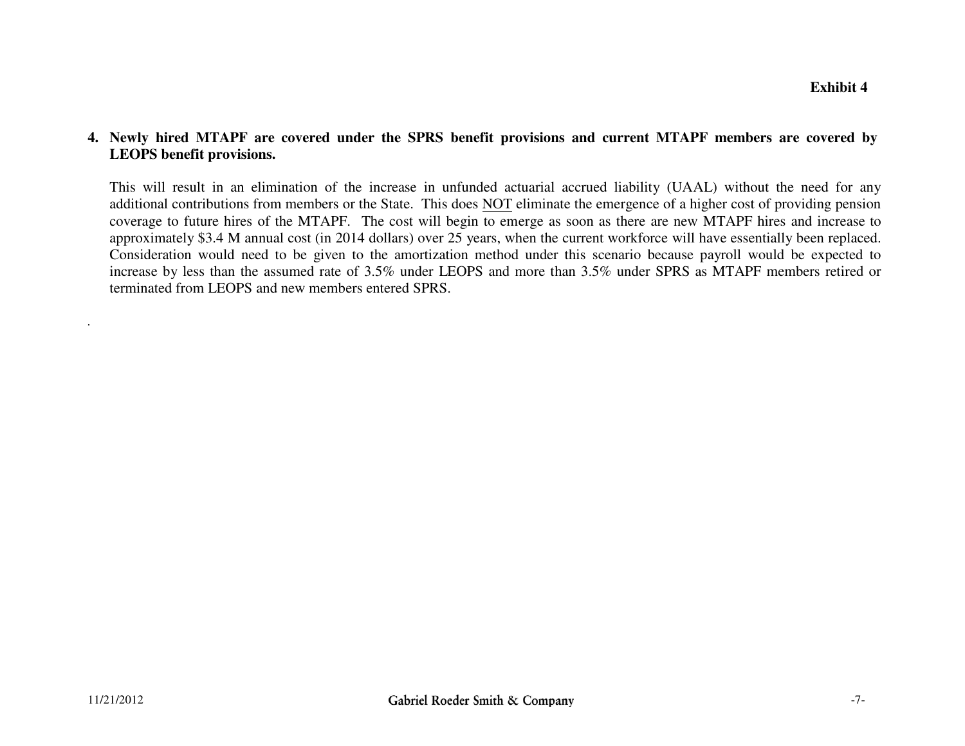## **4. Newly hired MTAPF are covered under the SPRS benefit provisions and current MTAPF members are covered byLEOPS benefit provisions.**

This will result in an elimination of the increase in unfunded actuarial accrued liability (UAAL) without the need for any additional contributions from members or the State. This does NOT eliminate the emergence of a higher cost of providing pension coverage to future hires of the MTAPF. The cost will begin to emerge as soon as there are new MTAPF hires and increase to approximately \$3.4 M annual cost (in 2014 dollars) over 25 years, when the current workforce will have essentially been replaced. Consideration would need to be given to the amortization method under this scenario because payroll would be expected to increase by less than the assumed rate of 3.5% under LEOPS and more than 3.5% under SPRS as MTAPF members retired or terminated from LEOPS and new members entered SPRS.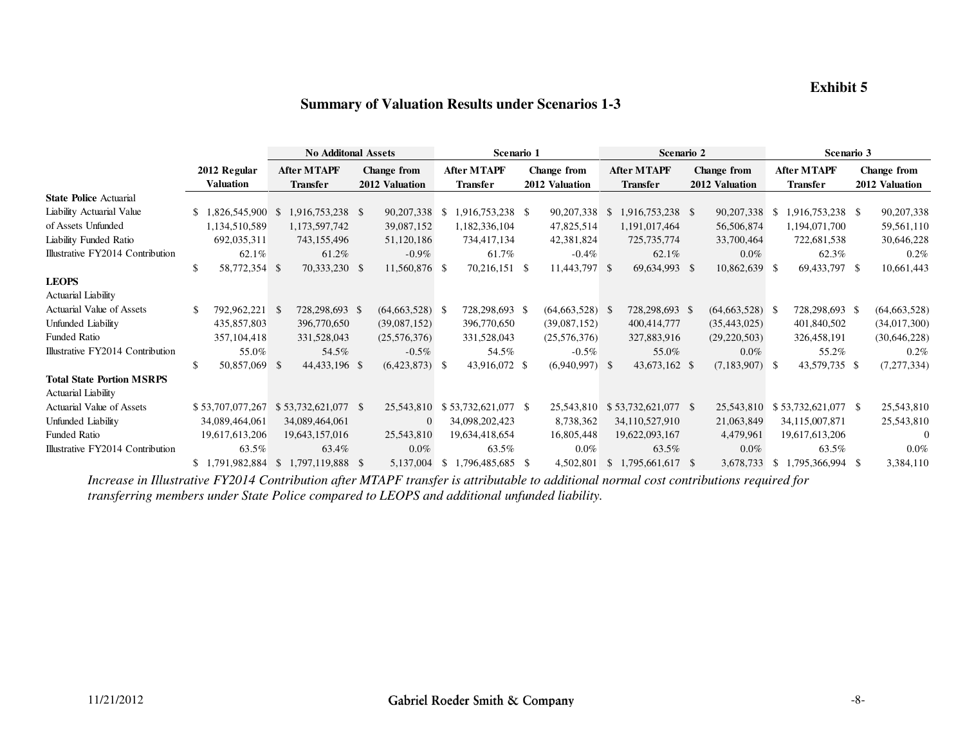## **Exhibit 5**

## **Summary of Valuation Results under Scenarios 1-3**

|                                  |     |                      | <b>No Additonal Assets</b> |                      |  | Scenario 1          |              |                     |  | Scenario 2          |    |                       |     | Scenario 3          |              |                       |      |                    |
|----------------------------------|-----|----------------------|----------------------------|----------------------|--|---------------------|--------------|---------------------|--|---------------------|----|-----------------------|-----|---------------------|--------------|-----------------------|------|--------------------|
|                                  |     | 2012 Regular         |                            | <b>After MTAPF</b>   |  | <b>Change from</b>  |              | <b>After MTAPF</b>  |  | Change from         |    | <b>After MTAPF</b>    |     | Change from         |              | <b>After MTAPF</b>    |      | <b>Change from</b> |
|                                  |     | <b>Valuation</b>     |                            | <b>Transfer</b>      |  | 2012 Valuation      |              | <b>Transfer</b>     |  | 2012 Valuation      |    | <b>Transfer</b>       |     | 2012 Valuation      |              | <b>Transfer</b>       |      | 2012 Valuation     |
| <b>State Police Actuarial</b>    |     |                      |                            |                      |  |                     |              |                     |  |                     |    |                       |     |                     |              |                       |      |                    |
| Liability Actuarial Value        |     | $$1,826,545,900$ \\$ |                            | 1,916,753,238 \$     |  | 90,207,338 \$       |              | 1,916,753,238 \$    |  | 90,207,338 \$       |    | 1,916,753,238 \$      |     | 90,207,338 \$       |              | 1,916,753,238 \$      |      | 90, 207, 338       |
| of Assets Unfunded               |     | 1,134,510,589        |                            | 1,173,597,742        |  | 39,087,152          |              | 1,182,336,104       |  | 47,825,514          |    | 1,191,017,464         |     | 56,506,874          |              | 1,194,071,700         |      | 59,561,110         |
| Liability Funded Ratio           |     | 692,035,311          |                            | 743,155,496          |  | 51,120,186          |              | 734,417,134         |  | 42,381,824          |    | 725,735,774           |     | 33,700,464          |              | 722,681,538           |      | 30,646,228         |
| Illustrative FY2014 Contribution |     | $62.1\%$             |                            | 61.2%                |  | $-0.9\%$            |              | 61.7%               |  | $-0.4\%$            |    | 62.1%                 |     | $0.0\%$             |              | 62.3%                 |      | $0.2\%$            |
|                                  | \$  | 58,772,354 \$        |                            | 70,333,230 \$        |  | 11,560,876 \$       |              | 70,216,151 \$       |  | 11,443,797 \$       |    | 69,634,993 \$         |     | 10,862,639 \$       |              | 69,433,797 \$         |      | 10,661,443         |
| <b>LEOPS</b>                     |     |                      |                            |                      |  |                     |              |                     |  |                     |    |                       |     |                     |              |                       |      |                    |
| Actuarial Liability              |     |                      |                            |                      |  |                     |              |                     |  |                     |    |                       |     |                     |              |                       |      |                    |
| Actuarial Value of Assets        |     | 792,962,221 \$       |                            | 728,298,693 \$       |  | $(64, 663, 528)$ \$ |              | 728,298,693 \$      |  | $(64, 663, 528)$ \$ |    | 728,298,693 \$        |     | $(64, 663, 528)$ \$ |              | 728,298,693 \$        |      | (64, 663, 528)     |
| Unfunded Liability               |     | 435,857,803          |                            | 396,770,650          |  | (39,087,152)        |              | 396,770,650         |  | (39,087,152)        |    | 400,414,777           |     | (35, 443, 025)      |              | 401,840,502           |      | (34,017,300)       |
| <b>Funded Ratio</b>              |     | 357, 104, 418        |                            | 331,528,043          |  | (25, 576, 376)      |              | 331,528,043         |  | (25, 576, 376)      |    | 327,883,916           |     | (29, 220, 503)      |              | 326,458,191           |      | (30,646,228)       |
| Illustrative FY2014 Contribution |     | 55.0%                |                            | 54.5%                |  | $-0.5\%$            |              | 54.5%               |  | $-0.5\%$            |    | 55.0%                 |     | $0.0\%$             |              | 55.2%                 |      | 0.2%               |
|                                  | \$. | 50,857,069 \$        |                            | 44,433,196 \$        |  | $(6,423,873)$ \$    |              | 43,916,072 \$       |  | $(6,940,997)$ \$    |    | 43,673,162 \$         |     | $(7,183,907)$ \$    |              | 43,579,735 \$         |      | (7,277,334)        |
| <b>Total State Portion MSRPS</b> |     |                      |                            |                      |  |                     |              |                     |  |                     |    |                       |     |                     |              |                       |      |                    |
| Actuarial Liability              |     |                      |                            |                      |  |                     |              |                     |  |                     |    |                       |     |                     |              |                       |      |                    |
| Actuarial Value of Assets        |     | \$53,707,077,267     |                            | $$53,732,621,077$ \; |  | 25,543,810          |              | \$53,732,621,077 \$ |  | 25,543,810          |    | $$53,732,621,077$ \\$ |     | 25,543,810          |              | $$53,732,621,077$ \\$ |      | 25,543,810         |
| Unfunded Liability               |     | 34,089,464,061       |                            | 34,089,464,061       |  | $\theta$            |              | 34,098,202,423      |  | 8,738,362           |    | 34,110,527,910        |     | 21,063,849          |              | 34,115,007,871        |      | 25,543,810         |
| Funded Ratio                     |     | 19,617,613,206       |                            | 19,643,157,016       |  | 25,543,810          |              | 19,634,418,654      |  | 16,805,448          |    | 19,622,093,167        |     | 4,479,961           |              | 19,617,613,206        |      | $\Omega$           |
| Illustrative FY2014 Contribution |     | 63.5%                |                            | 63.4%                |  | $0.0\%$             |              | 63.5%               |  | $0.0\%$             |    | 63.5%                 |     | $0.0\%$             |              | 63.5%                 |      | $0.0\%$            |
|                                  |     | $$1.791.982.884$ \$  |                            | 1,797,119,888 \$     |  | 5,137,004           | <sup>S</sup> | 1,796,485,685 \$    |  | 4,502,801           | -S | 1,795,661,617         | -\$ | 3,678,733           | <sup>S</sup> | 1,795,366,994         | - \$ | 3,384,110          |

 *Increase in Illustrative FY2014 Contribution after MTAPF transfer is attributable to additional normal cost contributions required for transferring members under State Police compared to LEOPS and additional unfunded liability.*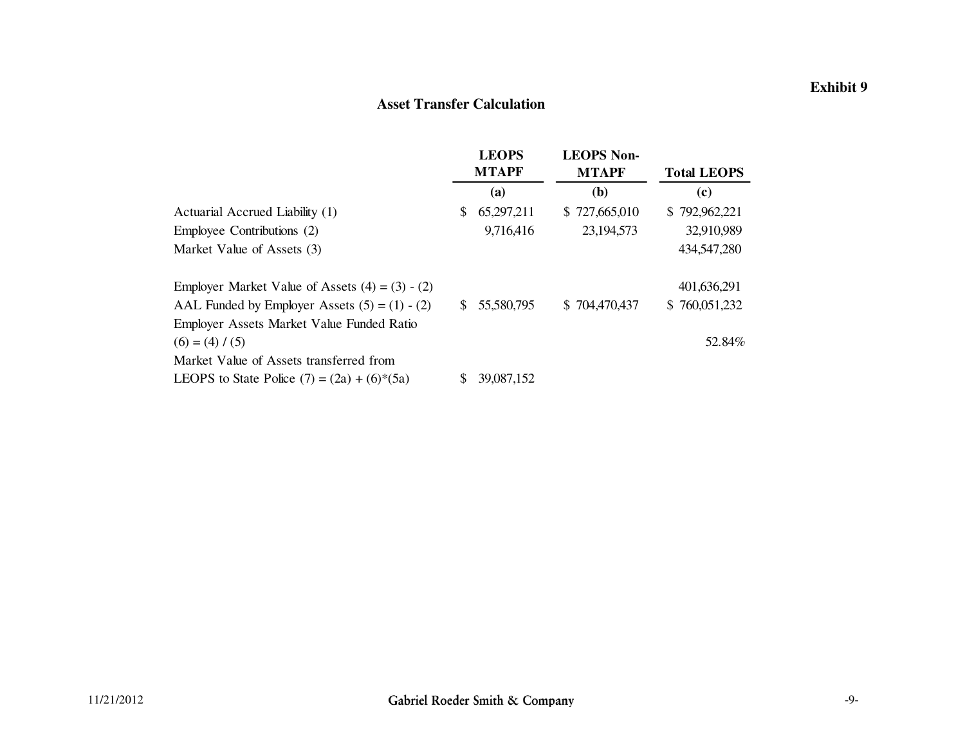## **Exhibit 9**

## **Asset Transfer Calculation**

|                                                   | <b>LEOPS</b> |            | <b>LEOPS Non-</b> |                    |
|---------------------------------------------------|--------------|------------|-------------------|--------------------|
|                                                   | <b>MTAPF</b> |            | <b>MTAPF</b>      | <b>Total LEOPS</b> |
|                                                   |              | (a)        | (b)               | (c)                |
| Actuarial Accrued Liability (1)                   | \$           | 65,297,211 | \$727,665,010     | \$792,962,221      |
| Employee Contributions (2)                        |              | 9,716,416  | 23,194,573        | 32,910,989         |
| Market Value of Assets (3)                        |              |            |                   | 434,547,280        |
|                                                   |              |            |                   |                    |
| Employer Market Value of Assets $(4) = (3) - (2)$ |              |            |                   | 401,636,291        |
| AAL Funded by Employer Assets $(5) = (1) - (2)$   | S            | 55,580,795 | \$704,470,437     | \$760,051,232      |
| Employer Assets Market Value Funded Ratio         |              |            |                   |                    |
| $(6) = (4) / (5)$                                 |              |            |                   | 52.84%             |
| Market Value of Assets transferred from           |              |            |                   |                    |
| LEOPS to State Police $(7) = (2a) + (6)^*(5a)$    | S            | 39,087,152 |                   |                    |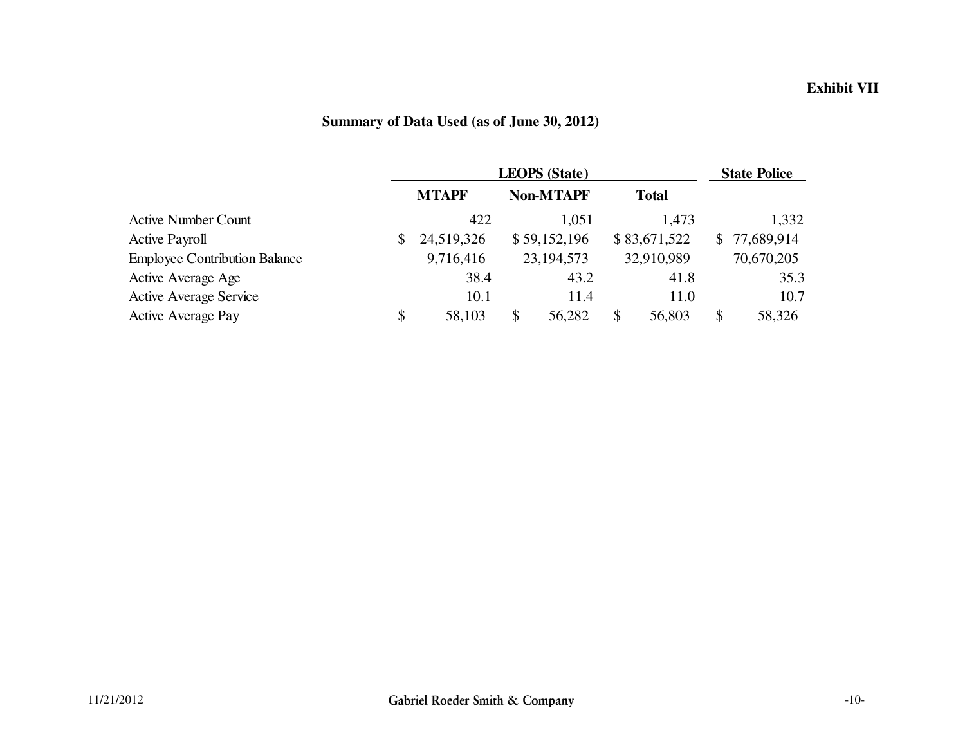## **Exhibit VII**

## **Summary of Data Used (as of June 30, 2012)**

|                                      | <b>LEOPS</b> (State) |              |    |                  |    |              |    | <b>State Police</b> |
|--------------------------------------|----------------------|--------------|----|------------------|----|--------------|----|---------------------|
|                                      |                      | <b>MTAPF</b> |    | <b>Non-MTAPF</b> |    | <b>Total</b> |    |                     |
| <b>Active Number Count</b>           |                      | 422          |    | 1,051            |    | 1,473        |    | 1,332               |
| <b>Active Payroll</b>                |                      | 24,519,326   |    | \$59,152,196     |    | \$83,671,522 | S. | 77,689,914          |
| <b>Employee Contribution Balance</b> |                      | 9,716,416    |    | 23, 194, 573     |    | 32,910,989   |    | 70,670,205          |
| Active Average Age                   |                      | 38.4         |    | 43.2             |    | 41.8         |    | 35.3                |
| <b>Active Average Service</b>        |                      | 10.1         |    | 11.4             |    | 11.0         |    | 10.7                |
| <b>Active Average Pay</b>            | \$                   | 58,103       | \$ | 56,282           | \$ | 56,803       | S  | 58,326              |